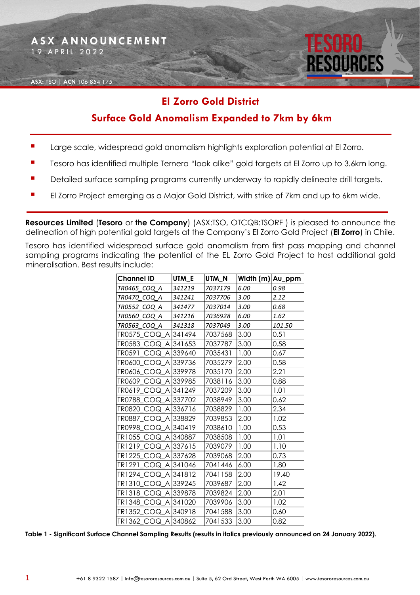

## **El Zorro Gold District**

## **Surface Gold Anomalism Expanded to 7km by 6km**

- Large scale, widespread gold anomalism highlights exploration potential at El Zorro.
- Tesoro has identified multiple Ternera "look alike" gold targets at El Zorro up to 3.6km long.
- Detailed surface sampling programs currently underway to rapidly delineate drill targets.
- El Zorro Project emerging as a Major Gold District, with strike of 7km and up to 6km wide.

**Resources Limited** (**Tesoro** or **the Company**) (ASX:TSO, OTCQB:TSORF ) is pleased to announce the delineation of high potential gold targets at the Company's El Zorro Gold Project (**El Zorro**) in Chile.

Tesoro has identified widespread surface gold anomalism from first pass mapping and channel sampling programs indicating the potential of the EL Zorro Gold Project to host additional gold mineralisation. Best results include:

| Channel ID          | UTM E  | UTM_N   | Width (m) Au_ppm |        |
|---------------------|--------|---------|------------------|--------|
| TR0465 COQ A        | 341219 | 7037179 | 6.00             | 0.98   |
| TR0470 COQ A        | 341241 | 7037706 | 3.00             | 2.12   |
| TR0552 COQ A        | 341477 | 7037014 | 3.00             | 0.68   |
| TR0560 COQ A        | 341216 | 7036928 | 6.00             | 1.62   |
| TR0563 COQ A        | 341318 | 7037049 | 3.00             | 101.50 |
| TR0575_COQ_A 341494 |        | 7037568 | 3.00             | 0.51   |
| TR0583 COQ A 341653 |        | 7037787 | 3.00             | 0.58   |
| TR0591_COQ_A 339640 |        | 7035431 | 1.00             | 0.67   |
| TR0600_COQ_A 339736 |        | 7035279 | 2.00             | 0.58   |
| TR0606 COQ A 339978 |        | 7035170 | 2.00             | 2.21   |
| TR0609 COQ A 339985 |        | 7038116 | 3.00             | 0.88   |
| TR0619_COQ_A 341249 |        | 7037209 | 3.00             | 1.01   |
| TR0788_COQ_A 337702 |        | 7038949 | 3.00             | 0.62   |
| TR0820 COQ A 336716 |        | 7038829 | 1.00             | 2.34   |
| TR0887_COQ_A 338829 |        | 7039853 | 2.00             | 1.02   |
| TR0998 COQ A 340419 |        | 7038610 | 1.00             | 0.53   |
| TR1055_COQ_A 340887 |        | 7038508 | 1.00             | 1.01   |
| TR1219_COQ_A 337615 |        | 7039079 | 1.00             | 1.10   |
| TR1225_COQ_A 337628 |        | 7039068 | 2.00             | 0.73   |
| TR1291_COQ_A 341046 |        | 7041446 | 6.00             | 1.80   |
| TR1294 COQ A 341812 |        | 7041158 | 2.00             | 19.40  |
| TR1310_COQ_A 339245 |        | 7039687 | 2.00             | 1.42   |
| TR1318_COQ_A 339878 |        | 7039824 | 2.00             | 2.01   |
| TR1348_COQ_A 341020 |        | 7039906 | 3.00             | 1.02   |
| TR1352 COQ A 340918 |        | 7041588 | 3.00             | 0.60   |
| TR1362_COQ_A 340862 |        | 7041533 | 3.00             | 0.82   |

**Table 1 - Significant Surface Channel Sampling Results (results in italics previously announced on 24 January 2022).**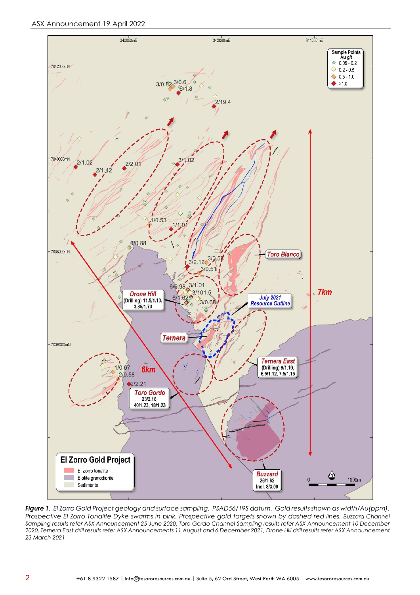

*Figure 1. El Zorro Gold Project geology and surface sampling. PSAD56/19S datum. Gold results shown as width/Au(ppm). Prospective El Zorro Tonalite Dyke swarms in pink. Prospective gold targets shown by dashed red lines. Buzzard Channel Sampling results refer ASX Announcement 25 June 2020, Toro Gordo Channel Sampling results refer ASX Announcement 10 December 2020, Ternera East drill results refer ASX Announcements 11 August and 6 December 2021, Drone Hill drill results refer ASX Announcement 23 March 2021*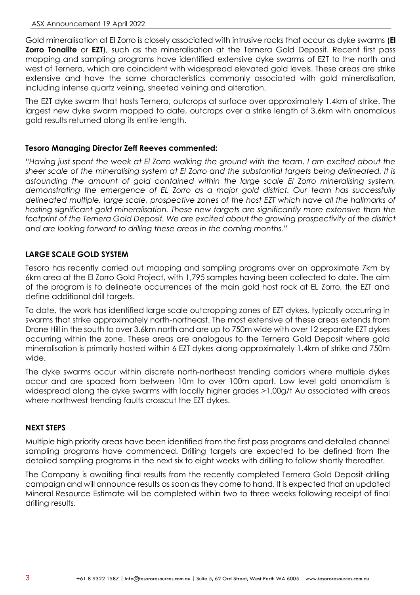Gold mineralisation at El Zorro is closely associated with intrusive rocks that occur as dyke swarms (**El Zorro Tonalite** or **EZT**), such as the mineralisation at the Ternera Gold Deposit. Recent first pass mapping and sampling programs have identified extensive dyke swarms of EZT to the north and west of Ternera, which are coincident with widespread elevated gold levels. These areas are strike extensive and have the same characteristics commonly associated with gold mineralisation, including intense quartz veining, sheeted veining and alteration.

The EZT dyke swarm that hosts Ternera, outcrops at surface over approximately 1.4km of strike. The largest new dyke swarm mapped to date, outcrops over a strike length of 3.6km with anomalous gold results returned along its entire length.

### **Tesoro Managing Director Zeff Reeves commented:**

*"Having just spent the week at El Zorro walking the ground with the team, I am excited about the sheer scale of the mineralising system at El Zorro and the substantial targets being delineated. It is astounding the amount of gold contained within the large scale El Zorro mineralising system, demonstrating the emergence of EL Zorro as a major gold district. Our team has successfully delineated multiple, large scale, prospective zones of the host EZT which have all the hallmarks of hosting significant gold mineralisation. These new targets are significantly more extensive than the footprint of the Ternera Gold Deposit. We are excited about the growing prospectivity of the district and are looking forward to drilling these areas in the coming months."*

#### **LARGE SCALE GOLD SYSTEM**

Tesoro has recently carried out mapping and sampling programs over an approximate 7km by 6km area at the El Zorro Gold Project, with 1,795 samples having been collected to date. The aim of the program is to delineate occurrences of the main gold host rock at EL Zorro, the EZT and define additional drill targets.

To date, the work has identified large scale outcropping zones of EZT dykes, typically occurring in swarms that strike approximately north-northeast. The most extensive of these areas extends from Drone Hill in the south to over 3.6km north and are up to 750m wide with over 12 separate EZT dykes occurring within the zone. These areas are analogous to the Ternera Gold Deposit where gold mineralisation is primarily hosted within 6 EZT dykes along approximately 1.4km of strike and 750m wide.

The dyke swarms occur within discrete north-northeast trending corridors where multiple dykes occur and are spaced from between 10m to over 100m apart. Low level gold anomalism is widespread along the dyke swarms with locally higher grades >1.00g/t Au associated with areas where northwest trending faults crosscut the EZT dykes.

#### **NEXT STEPS**

Multiple high priority areas have been identified from the first pass programs and detailed channel sampling programs have commenced. Drilling targets are expected to be defined from the detailed sampling programs in the next six to eight weeks with drilling to follow shortly thereafter.

The Company is awaiting final results from the recently completed Ternera Gold Deposit drilling campaign and will announce results as soon as they come to hand. It is expected that an updated Mineral Resource Estimate will be completed within two to three weeks following receipt of final drilling results.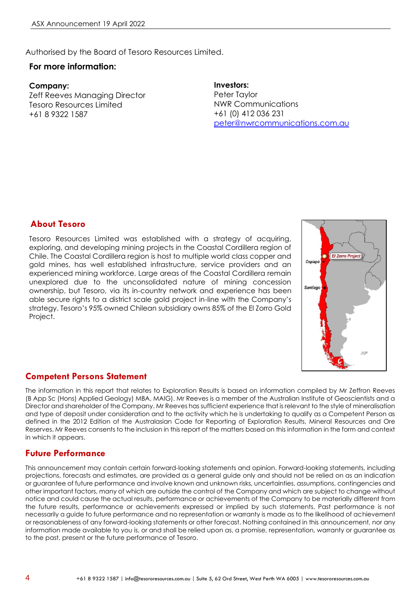Authorised by the Board of Tesoro Resources Limited.

#### **For more information:**

**Company:** Zeff Reeves Managing Director Tesoro Resources Limited +61 8 9322 1587

**Investors:** Peter Taylor NWR Communications +61 (0) 412 036 231 [peter@nwrcommunications.com.au](mailto:peter@nwrcommunications.com.au)

#### **About Tesoro**

Tesoro Resources Limited was established with a strategy of acquiring, exploring, and developing mining projects in the Coastal Cordillera region of Chile. The Coastal Cordillera region is host to multiple world class copper and gold mines, has well established infrastructure, service providers and an experienced mining workforce. Large areas of the Coastal Cordillera remain unexplored due to the unconsolidated nature of mining concession ownership, but Tesoro, via its in-country network and experience has been able secure rights to a district scale gold project in-line with the Company's strategy. Tesoro's 95% owned Chilean subsidiary owns 85% of the El Zorro Gold Project.



#### **Competent Persons Statement**

The information in this report that relates to Exploration Results is based on information compiled by Mr Zeffron Reeves (B App Sc (Hons) Applied Geology) MBA, MAIG). Mr Reeves is a member of the Australian Institute of Geoscientists and a Director and shareholder of the Company. Mr Reeves has sufficient experience that is relevant to the style of mineralisation and type of deposit under consideration and to the activity which he is undertaking to qualify as a Competent Person as defined in the 2012 Edition of the Australasian Code for Reporting of Exploration Results, Mineral Resources and Ore Reserves. Mr Reeves consents to the inclusion in this report of the matters based on this information in the form and context in which it appears.

#### **Future Performance**

This announcement may contain certain forward-looking statements and opinion. Forward-looking statements, including projections, forecasts and estimates, are provided as a general guide only and should not be relied on as an indication or guarantee of future performance and involve known and unknown risks, uncertainties, assumptions, contingencies and other important factors, many of which are outside the control of the Company and which are subject to change without notice and could cause the actual results, performance or achievements of the Company to be materially different from the future results, performance or achievements expressed or implied by such statements. Past performance is not necessarily a guide to future performance and no representation or warranty is made as to the likelihood of achievement or reasonableness of any forward-looking statements or other forecast. Nothing contained in this announcement, nor any information made available to you is, or and shall be relied upon as, a promise, representation, warranty or guarantee as to the past, present or the future performance of Tesoro.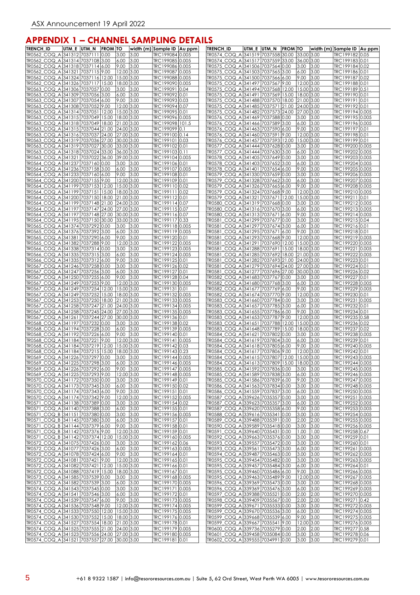## **APPENDIX 1 – CHANNEL SAMPLING DETAILS**

| <b>TRENCH ID</b>                                                       | UTM_E UTM_N |                | <b>FROM TO</b> |                          |              | width (m) Sample ID Au ppm         | <b>TRENCH_ID</b>                                                      | UTM_E  UTM_N | <b>FROM TO</b> |                    |              | width (m) Sample ID Au ppm         |  |
|------------------------------------------------------------------------|-------------|----------------|----------------|--------------------------|--------------|------------------------------------|-----------------------------------------------------------------------|--------------|----------------|--------------------|--------------|------------------------------------|--|
| TR0562_COQ_A                                                           |             | 341312 7037111 | 0.00           | 3.00                     | 3.00         | TRC199084 0.005                    | TR0574 COQ A 341519 7037558 30.00                                     |              |                | 33.00 3.00         |              | TRC199182 0.05                     |  |
| TR0562_COQ_A 341314 7037108 3.00                                       |             |                |                | 6.00                     | 3.00         | TRC199085 0.005                    | TR0574 COQ A 341517 7037559 33.00                                     |              |                | 36.00 3.00         |              | TRC199183 0.01                     |  |
| TR0562_COQ_A 341318 7037114 6.00<br>TR0562 COQ A 341321 7037115 9.00   |             |                |                | 9.00<br>12.00 3.00       | 3.00         | TRC199086 0.005<br>TRC199087 0.005 | TR0575_COQ_A 341506 7037564 0.00<br>TR0575_COQ_A 341503 7037565 3.00  |              |                | 3.00<br>6.00       | 3.00<br>3.00 | TRC199184 0.02<br>TRC199186 0.01   |  |
| TR0562_COQ_A 341324 7037116 12.00                                      |             |                |                | 15.00 3.00               |              | TRC199088 0.005                    | TR0575 COQ A 341500 7037566 6.00                                      |              |                | 9.00               | 3.00         | TRC199187 0.02                     |  |
| TR0562 COQ A 341326 7037117 15.00                                      |             |                |                | 18.00 3.00               |              | TRC199090 0.005                    | TR0575 COQ A 341497 7037567 9.00                                      |              |                | 12.00 3.00         |              | TRC199188 0.01                     |  |
| TR0563_COQ_A 341306 7037057 0.00                                       |             |                |                | 3.00                     | 3.00         | TRC199091 0.04                     | TR0575_COQ_A 341494 7037568 12.00                                     |              |                | 15.00 3.00         |              | TRC199189 0.51                     |  |
| TR0563_COQ_A 341309 7037056 3.00                                       |             |                |                | 6.00                     | 3.00         | TRC199092 0.01                     | TR0575_COQ_A 341491 7037569 15.00                                     |              |                | 18.00 3.00         |              | TRC199190 0.01                     |  |
| TR0563_COQ_A 341307 7037054 6.00                                       |             |                |                | 9.00                     | 3.00         | TRC199093 0.03                     | TR0575_COQ_A 341488 7037570 18.00                                     |              |                | 21.00 3.00         |              | TRC199191 0.01                     |  |
| TR0563_COQ_A 341308 7037052 9.00                                       |             |                |                | 12.00 3.00               |              | TRC199094 0.07                     | TR0575_COQ_A 341485 7037571 21.00                                     |              |                | 24.00 3.00         |              | TRC199192 0.01                     |  |
| TR0563_COQ_A 341314 7037051                                            |             |                | 12.00          | 15.00 3.00               |              | TRC199095 0.01                     | TR0575_COQ_A 341482 7037573 24.00                                     |              |                | 27.00 3.00         |              | TRC199194 0.005                    |  |
| TR0563 COQ A 341315 7037049 15.00                                      |             |                |                | 18.00 3.00               |              | TRC199096 0.005                    | TR0576 COQ A 341469 7037588 0.00                                      |              |                | 3.00               | 3.00         | TRC199195 0.005                    |  |
| TR0563_COQ_A 341318 7037049 18.00                                      |             |                |                | 21.00 3.00               |              | TRC199098 101.5                    | TR0576_COQ_A 341466 7037589 3.00                                      |              |                | 6.00               | 3.00         | TRC199196 0.005                    |  |
| TR0563_COQ_A 341315 7037044 21.00<br>TR0563_COQ_A 341316 7037037 24.00 |             |                |                | 24.00 3.00<br>27.00 3.00 |              | TRC199099 0.1<br>TRC199100 0.14    | TR0576_COQ_A 341463 7037590 6.00<br>TR0576_COQ_A 341460 7037591 9.00  |              |                | 9.00<br>12.00 3.00 | 3.00         | TRC199197 0.01<br>TRC199198 0.01   |  |
| TR0563 COQ A 341319 7037036 27.00                                      |             |                |                | 30.00 3.00               |              | TRC199101 0.03                     | TR0576_COQ_A 341457 7037593 12.00                                     |              |                | 15.00 3.00         |              | TRC199199 0.01                     |  |
| TR0563_COQ_A 341319 7037027 30.00                                      |             |                |                | 33.00 3.00               |              | TRC199102 0.01                     | TR0577 COQ A 341444 7037628 0.00                                      |              |                | 3.00               | 3.00         | TRC199200 0.005                    |  |
| TR0563_COQ_A 341318 7037024 33.00                                      |             |                |                | 36.00 3.00               |              | TRC199103 0.11                     | TR0577_COQ_A 341444 7037630 3.00                                      |              |                | 6.00               | 3.00         | TRC199202 0.005                    |  |
| TR0563_COQ_A 341321 7037022 36.00                                      |             |                |                | 39.00 3.00               |              | TRC199104 0.005                    | TR0578_COQ_A 341405 7037649 0.00                                      |              |                | 3.00               | 3.00         | TRC199203 0.005                    |  |
| TR0564_COQ_A 341237 7037160 0.00                                       |             |                |                | 3.00                     | 3.00         | TRC199106 0.01                     | TR0578_COQ_A 341403 7037652 3.00                                      |              |                | 6.00               | 3.00         | TRC199204 0.005                    |  |
| TR0564_COQ_A 341236 7037158 3.00                                       |             |                |                | 6.00                     | 3.00         | TRC199107 0.005                    | TR0578_COQ_A 341401 7037654 6.00                                      |              |                | 9.00               | 3.00         | TRC199205 0.005                    |  |
| TR0564_COQ_A 341233 7037160 6.00                                       |             |                |                | 9.00                     | 3.00         | TRC199108 0.01                     | TR0579_COQ_A 341330 7037659 0.00                                      |              |                | 3.00               | 3.00         | TRC199206 0.005                    |  |
| TR0564_COQ_A 341200 7037155 9.00                                       |             |                |                | 12.00 3.00               |              | TRC199109 0.01                     | TR0579_COQ_A 341328 7037662 3.00                                      |              |                | 6.00               | 3.00         | TRC199207 0.005                    |  |
| TR0564_COQ_A 341199 7037153 12.00                                      |             |                |                | 15.00 3.00               |              | TRC199110 0.02                     | TR0579_COQ_A 341326 7037665 6.00                                      |              |                | 9.00               | 3.00         | TRC199208 0.005                    |  |
| TR0564_COQ_A 341199 7037151                                            |             |                | 15.00          | 18.00 3.00               |              | TRC199111 0.02                     | TR0579 COQ A 341324 7037668 9.00                                      |              |                | 12.00 3.00         |              | TRC199210 0.005                    |  |
| TR0564_COQ_A 341200 7037150 18.00<br>TR0564 COQ A 341199 7037148 21.00 |             |                |                | 21.00 3.00<br>24.00 3.00 |              | TRC199112 0.01<br>TRC199114 0.07   | TR0579 COQ A 341321 7037671 12.00<br>TR0580_COQ_A 341319 7037668 0.00 |              |                | 15.00 3.00<br>3.00 | 3.00         | TRC199211 0.01<br>TRC199212 0.005  |  |
| TR0564_COQ_A 341197 7037147 24.00                                      |             |                |                | 27.00 3.00               |              | TRC199115 0.07                     | TR0580 COQ A 341316 7037670 3.00                                      |              |                | 6.00               | 3.00         | TRC199213 0.005                    |  |
| TR0564_COQ_A 341197 7037148 27.00                                      |             |                |                | 30.00 3.00               |              | TRC199116 0.07                     | TR0580_COQ_A 341313 7037671 6.00                                      |              |                | 9.00               | 3.00         | TRC199214 0.005                    |  |
| TR0564_COQ_A 341195 7037150 30.00                                      |             |                |                | 33.00 3.00               |              | TRC199117 0.33                     | TR0581_COQ_A 341299 7037677 0.00                                      |              |                | 3.00               | 3.00         | TRC199215 0.04                     |  |
| TR0565 COQ A 341374 7037292 0.00                                       |             |                |                | 3.00                     | 3.00         | TRC199118 0.005                    | TR0581_COQ_A 341297 7037674 3.00                                      |              |                | 6.00               | 3.00         | TRC199216 0.01                     |  |
| TR0565_COQ_A 341376 7037392 3.00                                       |             |                |                | 6.00                     | 3.00         | TRC199119 0.005                    | TR0581_COQ_A 341295 7037671 6.00                                      |              |                | 9.00               | 3.00         | TRC199218 0.01                     |  |
| TR0565_COQ_A 341381 7037290 6.00                                       |             |                |                | 9.00                     | 3.00         | TRC199120 0.01                     | TR0581_COQ_A 341293 7037668 9.00                                      |              |                | 12.00 3.00         |              | TRC199219 0.005                    |  |
| TR0565_COQ_A 341382 7037288 9.00                                       |             |                |                | 12.00 3.00               |              | TRC199122 0.005                    | TR0581 COQ A 341291 7037690 12.00                                     |              |                | 15.00 3.00         |              | TRC199220 0.005                    |  |
| TR0566_COQ_A 341338 7037314 0.00                                       |             |                |                | 3.00                     | 3.00         | TRC199123 0.005                    | TR0581 COQ A 341288 7037691 15.00                                     |              |                | 18.00 3.00         |              | TRC199221 0.005                    |  |
| TR0566_COQ_A 341335 7037315 3.00                                       |             |                |                | 6.00                     | 3.00         | TRC199124 0.005                    | TR0581_COQ_A 341285 7037692 18.00                                     |              |                | 21.00 3.00         |              | TRC199222 0.005                    |  |
| TR0566_COQ_A 341335 7037312 6.00                                       |             |                |                | 9.00                     | 3.00         | TRC199125 0.01                     | TR0581_COQ_A 341282 7037693 21.00                                     |              |                | 24.00 3.00         |              | TRC199223 0.01                     |  |
| TR0567_COQ_A 341246 7037258 0.00                                       |             |                |                | 3.00                     | 3.00         | TRC199126 0.02                     | TR0581_COQ_A 341279 7037694 24.00                                     |              |                | 27.00 3.00         |              | TRC199224 0.01                     |  |
| TR0567_COQ_A 341247 7037256 3.00                                       |             |                |                | 6.00                     | 3.00         | TRC199127 0.01                     | TR0581_COQ_A 341277 7037696 27.00                                     |              |                | 30.00 3.00         |              | TRC199226 0.02                     |  |
| TR0567_COQ_A 341250 7037255 6.00<br>TR0567_COQ_A 341249 7037253 9.00   |             |                |                | 9.00<br>12.00 3.00       | 3.00         | TRC199128 0.04<br>TRC199130 0.005  | TR0582_COQ_A 341683 7037767 0.00<br>TR0582_COQ_A 341680 7037768 3.00  |              |                | 3.00<br>6.00       | 3.00<br>3.00 | TRC199227 0.01<br>TRC199228 0.005  |  |
| TR0567_COQ_A 341249 7037254 12.00                                      |             |                |                | 15.00 3.00               |              | TRC199131 0.01                     | TR0582_COQ_A 341677 7037769 6.00                                      |              |                | 9.00               | 3.00         | TRC199229 0.005                    |  |
| TR0567_COQ_A 341249 7037252                                            |             |                | 15.00          | 18.00 3.00               |              | TRC199132 0.005                    | TR0582_COQ_A 341674 7037770 9.00                                      |              |                | 12.00 3.00         |              | TRC199230 0.01                     |  |
| TR0567_COQ_A 341253 7037250                                            |             |                | 18.00          | 21.00 3.00               |              | TRC199133 0.005                    | TR0583_COQ_A 341660 7037784 0.00                                      |              |                | 3.00               | 3.00         | TRC199231 0.005                    |  |
| TR0567_COQ_A 341258 7037247 21.00                                      |             |                |                | 24.00 3.00               |              | TRC199134 0.005                    | TR0583_COQ_A 341657 7037785 3.00                                      |              |                | 6.00               | 3.00         | TRC199232 0.01                     |  |
| TR0567_COQ_A 341258 7037245 24.00                                      |             |                |                | 27.00 3.00               |              | TRC199135 0.005                    | TR0583_COQ_A 341655 7037786 6.00                                      |              |                | 9.00               | 3.00         | TRC199234 0.01                     |  |
| TR0567_COQ_A 341261 7037244 27.00                                      |             |                |                | 30.00 3.00               |              | TRC199136 0.01                     | TR0583_COQ_A 341653 7037787 9.00                                      |              |                | 12.00 3.00         |              | TRC199235 0.58                     |  |
| TR0568_COQ_A 341197 7037232 0.00                                       |             |                |                | 3.00                     | 3.00         | TRC199138 0.02                     | TR0583 COQ A 341651 7037788 12.00                                     |              |                | 15.00 3.00         |              | TRC199236 0.02                     |  |
| TR0568_COQ_A 341194 7037228 3.00                                       |             |                |                | 6.00                     | 3.00         | TRC199139 0.005                    | TR0583_COQ_A 341648 7037789 15.00                                     |              |                | 18.00 3.00         |              | TRC199237 0.02                     |  |
| TR0568_COQ_A 341192 7037226 6.00                                       |             |                |                | 9.00                     | 3.00         | TRC199140 0.01                     | TR0584 COQ A 341621 7037802 0.00                                      |              |                | 3.00               | 3.00         | TRC199238 0.005                    |  |
| TR0568_COQ_A 341184 7037221                                            |             |                | 9.00           | 12.00 3.00               |              | TRC199141<br>0.005                 | TR0584 COQ A 341619 7037804 3.00                                      |              |                | 6.00               | 3.00         | TRC199239 0.01                     |  |
| TR0568 COQ A 341184 7037219 12.00<br>TR0568_COQ_A 341184 7037215 15.00 |             |                |                | 15.00 3.00<br>18.00 3.00 |              | TRC199142 0.03<br>TRC199143 0.23   | TR0584 COQ A 341618 7037805 6.00<br>TR0584_COQ_A 341617 7037806 9.00  |              |                | 9.00<br>12.00 3.00 | 3.00         | TRC199240 0.005<br>TRC199242 0.01  |  |
| TR0569_COQ_A 341226 7037297 0.00                                       |             |                |                | 3.00                     | 3.00         | TRC199144 0.005                    | TR0584_COQ_A 341615 7037807 12.00                                     |              |                | 15.00 3.00         |              | TRC199243 0.005                    |  |
| TR0569_COQ_A 341225 /03/298 3.00                                       |             |                |                | 6.00 3.00                |              | TRC199146 0.005                    | TR0584_COQ_A  341613  7037809  15.00  18.00  3.00                     |              |                |                    |              | TRC199244 0.005                    |  |
| TR0569_COQ_A 341226 7037292 6.00                                       |             |                |                | 9.00 3.00                |              | TRC199147 0.005                    | TR0585 COQ A 341592 7037836 0.00                                      |              |                | 3.00 3.00          |              | TRC199245 0.005                    |  |
| TR0569_COQ_A 341225 7037293 9.00                                       |             |                |                | 12.00 3.00               |              | TRC199148 0.005                    | TR0585_COQ_A 341589 7037838 3.00                                      |              |                | 6.00               | 3.00         | TRC199246 0.005                    |  |
| TR0570 COQ A 341172 7037350 0.00                                       |             |                |                | 3.00                     | 3.00         | TRC199149 0.01                     | TR0585 COQ A 341586 7037839 6.00                                      |              |                | 9.00               | 3.00         | TRC199247 0.005                    |  |
| TR0570_COQ_A 341173 7037345 3.00                                       |             |                |                | 6.00                     | 3.00         | TRC199150 0.02                     | TR0586_COQ_A 341563 7037834 0.00                                      |              |                | 3.00               | 3.00         | TRC199248 0.005                    |  |
| TR0570_COQ_A 341174 7037343 6.00                                       |             |                |                | 9.00                     | 3.00         | TRC199151 0.01                     | TR0586_COQ_A 341559 7037837 3.00                                      |              |                | 6.00               | 3.00         | TRC199250 0.005                    |  |
| TR0570_COQ_A 341174 7037342 9.00                                       |             |                |                | 12.00 3.00               |              | TRC199152 0.005                    | TR0587 COQ A 339626 7035357 0.00                                      |              |                | 3.00               | 3.00         | TRC199251 0.005                    |  |
| TR0571_COQ_A 341138 7037389 0.00<br>TR0571_COQ_A 341140 7037388 3.00   |             |                |                | 3.00<br>6.00             | 3.00<br>3.00 | TRC199154 0.02<br>TRC199155 0.01   | TR0587_COQ_A 339623 7035357 3.00<br>TR0587_COQ_A 339620 7035358 6.00  |              |                | 6.00<br>9.00       | 3.00<br>3.00 | TRC199252 0.005<br>TRC199253 0.005 |  |
| TR0571_COQ_B 341151 7037380 0.00                                       |             |                |                | 3.00                     | 3.00         | TRC199156 0.005                    | TR0588 COQ A 339616 7035341 0.00                                      |              |                | 3.00               | 3.00         | TRC199254 0.005                    |  |
| TR0571_COQ_B 341145 7037380 3.00                                       |             |                |                | 6.00                     | 3.00         | TRC199157 0.01                     | TR0589_COQ_A 339488 7035391 0.00                                      |              |                | 2.00               | 2.00         | TRC199255 0.005                    |  |
| TR0571_COQ_B 341144 7037379 6.00                                       |             |                |                | 9.00                     | 3.00         | TRC199158 0.01                     | TR0590_COQ_A 339589 7035418 0.00                                      |              |                | 3.00               | 3.00         | TRC199256 0.005                    |  |
| TR0571_COQ_B 341142 7037376 9.00                                       |             |                |                | 12.00 3.00               |              | TRC199159 0.01                     | TR0591 COQ A 339640 7035431 0.00                                      |              |                | 1.00               | 1.00         | TRC199258 0.67                     |  |
| TR0571_COQ_B 341142 7037374 12.00                                      |             |                |                | 15.00 3.00               |              | TRC199160 0.005                    | TR0592_COQ_A 339663 7035376 0.00                                      |              |                | 3.00               | 3.00         | TRC199259 0.01                     |  |
| TR0572_COQ_A 341075 7037426 0.00                                       |             |                |                | 3.00 3.00                |              | TRC199162 0.06                     | TR0593_COQ_A 339557 7035472 0.00                                      |              |                | 3.00               | 3.00         | TRC199260 0.01                     |  |
| TR0572_COQ_A 341077 7037426 3.00                                       |             |                |                | 6.00                     | 3.00         | TRC199163 0.005                    | TR0593_COQ_A 339561 7035473 3.00                                      |              |                | 6.00               | 3.00         | TRC199261 0.005                    |  |
| TR0572_COQ_A 341078 7037424 6.00                                       |             |                |                | 9.00 3.00                |              | TRC199164 0.01                     | TR0594 COQ A 339487 7035463 0.00                                      |              |                | 3.00               | 3.00         | TRC199262 0.005                    |  |
| TR0572_COQ_A 341081 7037421 9.00                                       |             |                |                | 12.00 3.00               |              | TRC199165 0.01                     | TR0595_COQ_A 339454 7035482 0.00                                      |              |                | 3.00               | 3.00         | TRC199263 0.005                    |  |
| TR0572_COQ_A 341082 7037421 12.00                                      |             |                |                | $15.00$ 3.00             |              | TRC199166 0.01                     | TR0595_COQ_A 339457 7035484 3.00                                      |              |                | 6.00               | 3.00         | TRC199264 0.01                     |  |
| TR0572_COQ_A 341088 7037419 15.00<br>TR0573_COQ_A 341585 7037539 0.00  |             |                |                | 18.00 3.00<br>3.00 3.00  |              | TRC199167 0.01<br>TRC199168 0.005  | TR0595_COQ_A 339460 7035486 6.00<br>TR0595_COQ_A 339463 7035489 9.00  |              |                | 9.00<br>12.00 3.00 | 3.00         | TRC199266 0.005<br>TRC199267 0.005 |  |
| TR0573_COQ_A 341582 7037539 3.00                                       |             |                |                | 6.00                     | 3.00         | TRC199170 0.005                    | TR0596_COQ_A 339369 7035473 0.00                                      |              |                | 3.00               | 3.00         | TRC199268 0.005                    |  |
| TR0574_COQ_A 341543 7037545 0.00                                       |             |                |                | 3.00                     | 3.00         | TRC199171 0.005                    | TR0596_COQ_A 339369 7035476 3.00                                      |              |                | 6.00               | 3.00         | TRC199269 0.005                    |  |
| TR0574_COQ_A 341541 7037546 3.00                                       |             |                |                | 6.00                     | 3.00         | TRC199172 0.01                     | TR0597_COQ_A 339388 7035521 0.00                                      |              |                | 2.00               | 2.00         | TRC199270 0.005                    |  |
| TR0574_COQ_A 341539 7037547 6.00                                       |             |                |                | 9.00                     | 3.00         | TRC199173 0.005                    | TR0598_COQ_A 339409 7035567 0.00                                      |              |                | 2.00               | 2.00         | TRC199271 0.42                     |  |
| TR0574_COQ_A 341536 7037548 9.00                                       |             |                |                | 12.00 3.00               |              | TRC199174 0.005                    | TR0599_COQ_A 339671 7035533 0.00                                      |              |                | 3.00               | 3.00         | TRC199272 0.005                    |  |
| TR0574_COQ_A 341533 7037550 12.00 15.00 3.00                           |             |                |                |                          |              | TRC199175 0.005                    | TR0599_COQ_A 339670 7035536 3.00                                      |              |                | 6.00               | 3.00         | TRC199274 0.005                    |  |
| TR0574_COQ_A 341530 7037552 15.00 18.00 3.00                           |             |                |                |                          |              | TRC199176 0.005                    | TR0599_COQ_A 339668 7035539 6.00                                      |              |                | 9.00               | 3.00         | TRC199275 0.005                    |  |
| TR0574_COQ_A 341527 7037554 18.00 21.00 3.00                           |             |                |                |                          |              | TRC199178 0.01                     | TR0599_COQ_A 339667 7035541 9.00                                      |              |                | 12.00 3.00         |              | TRC199276 0.005                    |  |
| TR0574_COQ_A 341525 7037555 21.00 24.00 3.00                           |             |                |                |                          |              | TRC199179 0.005                    | TR0600_COQ_A 339736 7035279 0.00                                      |              |                | 2.00               | 2.00         | TRC199277 0.58                     |  |
| TR0574_COQ_A 341523 7037556 24.00 27.00 3.00                           |             |                |                |                          |              | TRC199180 0.005                    | TR0601_COQ_A 339458 7035084 0.00                                      |              |                | 3.00               | 3.00         | TRC199278 0.06                     |  |
| TR0574_COQ_A 341521 7037557 27.00 30.00 3.00                           |             |                |                |                          |              | TRC199181 0.01                     | TR0602_COQ_A 339555 7034991 0.00                                      |              |                | 3.00               | 3.00         | TRC199279 0.01                     |  |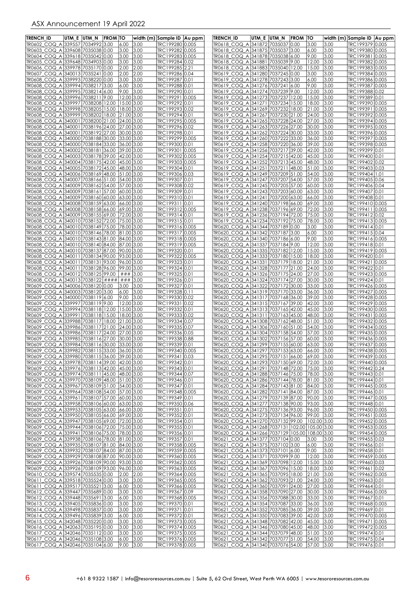| TRENCH ID                                                                                    | UTM E UTM N |                         | <b>FROM TO</b> |                          |              | width (m) Sample ID   Au ppm       |       | <b>TRENCH ID</b>                                                       | utm e  utm n | <b>FROM TO</b> |                |              | width (m) Sample ID   Au ppm       |  |
|----------------------------------------------------------------------------------------------|-------------|-------------------------|----------------|--------------------------|--------------|------------------------------------|-------|------------------------------------------------------------------------|--------------|----------------|----------------|--------------|------------------------------------|--|
| TR0602 COQ A 339557 7034992 3.00                                                             |             |                         |                | 6.00                     | 3.00         | TRC199280 0.005                    |       | TR0618 COQ A 341872 7035037 0.00                                       |              |                | 3.00           | 3.00         | TRC199379 0.005                    |  |
| TR0603 COQ A                                                                                 |             | 339608 7035038 0.00     |                | 3.00                     | 3.00         | TRC199282 0.005                    |       | TR0618_COQ_A 341875 7035037 3.00                                       |              |                | 6.00           | 3.00         | TRC199380 0.005                    |  |
| TR0604 COQ A 339618 7035042 0.00                                                             |             |                         |                | 3.00                     | 3.00         | TRC199283 0.005                    |       | TR0618 COQ A 341878 7035038 6.00                                       |              |                | 19.00          | 3.00<br>3.00 | TRC199381 0.005                    |  |
| TR0605_COQ_A 339648 7034903 0.00<br>TR0606_COQ_A 339978 7035170 0.00                         |             |                         |                | 3.00<br>2.00             | 3.00<br>2.00 | TRC199284 0.02<br>TRC199285 2.21   |       | TR0618_COQ_A 341881 7035039 9.00<br>TR0618_COQ_A 341883 7035040 12.00  |              |                | 12.00<br>15.00 | 3.00         | TRC199382 0.005<br>TRC199383 0.005 |  |
| TR0607 COQ A 340013 7035241                                                                  |             |                         | 10.00          | 2.00                     | 2.00         | TRC199286 0.04                     |       | TR0619_COQ_A 341280 7037245 0.00                                       |              |                | 3.00           | 3.00         | TRC199384 0.005                    |  |
| TR0608 COQ A 339993 7038220 0.00                                                             |             |                         |                | 3.00                     | 3.00         | TRC199287 0.01                     |       | TR0619 COQ A 341278 7037243 3.00                                       |              |                | 6.00           | 3.00         | TRC199386 0.005                    |  |
| TR0608_COQ_A 339994 7038217 3.00                                                             |             |                         |                | 6.00                     | 3.00         | TRC199288 0.01                     |       | TR0619_COQ_A 341276 7037241 6.00                                       |              |                | 9.00           | 3.00         | TRC199387 0.005                    |  |
| TR0608_COQ_A 339995 7038214 6.00                                                             |             |                         |                | 9.00                     | 3.00         | TRC199290 0.01                     |       | TR0619_COQ_A 341274 7037239 9.00                                       |              |                | 12.00          | 3.00         | TRC199388 0.02                     |  |
| TR0608_COQ_A 339996 7038211<br>TR0608 COQ A 339997 7038208 12.00                             |             |                         | 9.00           | 12.00<br>15.00 3.00      | 3.00         | TRC199291<br>TRC199292 0.01        | 0.005 | TR0619_COQ_A 341273 7037237<br>TR0619_COQ_A 341271 7037234             |              | 12.00<br>15.00 | 15.00<br>18.00 | 3.00<br>3.00 | TRC199389 0.01<br>TRC199390 0.005  |  |
| TR0608 COQ A 339998 7038205                                                                  |             |                         | 15.00          | 18.00 3.00               |              | TRC199293 0.02                     |       | TR0619 COQ A 341269 7037232                                            |              | 18.00          | 21.00          | 3.00         | TRC199391 0.005                    |  |
| TR0608_COQ_A 339999 7038202 18.00                                                            |             |                         |                | 21.00 3.00               |              | TRC199294 0.01                     |       | TR0619_COQ_A 341267 7037230 21.00                                      |              |                | 24.00          | 3.00         | TRC199392 0.005                    |  |
| TR0608_COQ_A 340001 7038200 21.00                                                            |             |                         |                | 24.00 3.00               |              | TRC199295 0.005                    |       | TR0619 COQ A 341265 7037228 24.00                                      |              |                | 27.00          | 3.00         | TRC199394 0.005                    |  |
| TR0608 COQ A<br>TR0608 COQ A 340001 7038192 27.00                                            |             | 340001 7038196 24.00    |                | 27.00 3.00               |              | TRC199296 0.02                     |       | TR0619 COQ A 341263 7037226 27.00                                      |              |                | 30.00          | 3.00         | TRC199395 0.005<br>TRC199396 0.005 |  |
| TR0608 COQ A 340000 7038188 30.00                                                            |             |                         |                | 30.00 3.00<br>33.00 3.00 |              | TRC199298 0.01<br>TRC199299 0.005  |       | TR0619_COQ_A 341262 7037224 30.00<br>TR0619 COQ A 341260 7037222       |              | 33.00          | 33.00<br>36.00 | 3.00<br>3.00 | TRC199397 0.005                    |  |
| TR0608_COQ_A 340000 7038184 33.00                                                            |             |                         |                | 36.00 3.00               |              | TRC199300 0.01                     |       | TR0619_COQ_A 341258 7037220 36.00                                      |              |                | 39.00          | 3.00         | TRC199398 0.005                    |  |
| TR0608 COQ A 340002 7038181 36.00                                                            |             |                         |                | 39.00 3.00               |              | TRC199301 0.005                    |       | TR0619_COQ_A 341256 7037217 39.00                                      |              |                | 42.00          | 3.00         | TRC199399 0.01                     |  |
| TR0608_COQ_A 340003 7038178 39.00                                                            |             |                         |                | 42.00 3.00               |              | TRC199302 0.005                    |       | TR0619_COQ_A 341254 7037215 42.00                                      |              |                | 45.00          | 3.00         | TRC199400 0.01                     |  |
| TR0608_COQ_A 340004 7038175 42.00<br>TR0608_COQ_A 340005 7038172 45.00                       |             |                         |                | 45.00 3.00<br>48.00 3.00 |              | TRC199303 0.005<br>TRC199304 0.01  |       | TR0619_COQ_A 341252 7037213 45.00<br>TR0619_COQ_A 341251 7037211 48.00 |              |                | 48.00<br>51.00 | 3.00<br>3.00 | TRC199402 0.02<br>TRC199403 0.03   |  |
| TR0608_COQ_A 340006 7038169 48.00                                                            |             |                         |                | 51.00 3.00               |              | TRC199306 0.03                     |       | TR0619_COQ_A 341249 7037209 51.00                                      |              |                | 54.00          | 3.00         | TRC199404 1.01                     |  |
| TR0608 COQ A 340007 7038166 51.00                                                            |             |                         |                | 54.00 3.00               |              | TRC199307 0.01                     |       | TR0619 COQ A 341247 7037207 54.00                                      |              |                | 57.00          | 3.00         | TRC199405 0.06                     |  |
| TR0608_COQ_A 340009 7038162 54.00                                                            |             |                         |                | 57.00 3.00               |              | TRC199308 0.02                     |       | TR0619 COQ A 341245 7037205 57.00                                      |              |                | 60.00          | 3.00         | TRC199406 0.04                     |  |
| TR0608_COQ_A 340009 7038161 57.00                                                            |             |                         |                | 60.00 3.00               |              | TRC199309 0.01                     |       | TR0619_COQ_A 341243 7037203 60.00                                      |              |                | 63.00          | 3.00         | TRC199407 0.01                     |  |
| TR0608_COQ_A 340009 7038160 60.00                                                            |             |                         |                | 63.00 3.00<br>66.00 3.00 |              | TRC199310 0.01                     |       | TR0619_COQ_A 341241 7037200 63.00<br>TR0619 COQ A 341240 7037198 66.00 |              |                | 66.00          | 3.00<br>3.00 | TRC199408 0.01<br>TRC199410 0.005  |  |
| TR0608_COQ_A 340008 7038159 63.00<br>TR0608_COQ_A 340008 7038158 66.00                       |             |                         |                | 69.00 3.00               |              | TRC199311 0.01<br>TRC199312 0.005  |       | TR0619_COQ_A 341238 7037196 69.00                                      |              |                | 69.00<br>72.00 | 3.00         | TRC199411 0.005                    |  |
| TR0608_COQ_A 340009 7038155 69.00                                                            |             |                         |                | 72.00 3.00               |              | TRC199314 0.01                     |       | TR0619_COQ_A 341236 7037194 72.00                                      |              |                | 75.00          | 3.00         | TRC199412 0.02                     |  |
| TR0608_COQ_A 340010 7038152 72.00                                                            |             |                         |                | 75.00 3.00               |              | TRC199315 0.01                     |       | TR0619_COQ_A 341234 7037192 75.00                                      |              |                | 78.00          | 3.00         | TRC199413 0.005                    |  |
| TR0608 COQ A 340010 7038149 75.00                                                            |             |                         |                | 78.00 3.00               |              | TRC199316 0.005                    |       | TR0620_COQ_A 341344 7037189 0.00                                       |              |                | 3.00           | 3.00         | TRC199414 0.01                     |  |
| TR0608 COQ A 340010 7038146 78.00<br>TR0608_COQ_A 340010 7038143 81.00                       |             |                         |                | 81.00 3.00<br>84.00 3.00 |              | TRC199317 0.005<br>TRC199318 0.005 |       | TR0620_COQ_A 341342 7037187 3.00<br>TR0620_COQ_A 341340 7037186 6.00   |              |                | 6.00<br>19.00  | 3.00<br>3.00 | TRC199415 0.04<br>TRC199416 0.005  |  |
| TR0608 COQ A 340010 7038140 84.00                                                            |             |                         |                | 87.00 3.00               |              | TRC199319 0.005                    |       | TR0620 COQ A 341337 7037184 9.00                                       |              |                | 12.00          | 3.00         | TRC199418 0.01                     |  |
| TR0608_COQ_A 340010 7038137 87.00                                                            |             |                         |                | 90.00 3.00               |              | TRC199320 0.01                     |       | TR0620_COQ_A 341335 7037182 12.00                                      |              |                | 15.00          | 3.00         | TRC199419 0.005                    |  |
| TR0608_COQ_A 340011 7038134 90.00                                                            |             |                         |                | 93.00 3.00               |              | TRC199322 0.005                    |       | TR0620_COQ_A 341333 7037180                                            |              | 15.00          | 18.00          | 3.00         | TRC199420 0.01                     |  |
| TR0608_COQ_A 340011 7038131 93.00                                                            |             |                         |                | 96.00 3.00               |              | TRC199323 0.01                     |       | TR0620_COQ_A 341331 7037179                                            |              | 18.00          | 21.00          | 3.00         | TRC199421 0.005                    |  |
| TR0608 COQ A 340011 7038128 96.00<br>TR0608 COQ_A 340012 7038125 99.00                       |             |                         |                | 99.00 3.00<br>###        |              | TRC199324 0.01                     |       | TR0620_COQ_A 341328 7037177 21.00                                      |              |                | 24.00<br>27.00 | 3.00         | TRC199422 0.01                     |  |
| TR0608_COQ_A 340013 7038122 ####                                                             |             |                         |                | ###                      | 3.00<br>3.00 | TRC199325 0.01<br>TRC199326 0.01   |       | TR0620_COQ_A 341326 7037175 24.00<br>TR0620_COQ_A 341324 7037174 27.00 |              |                | 30.00          | 3.00<br>3.00 | TRC199423 0.005<br>TRC199424 0.01  |  |
| TR0609_COQ_A 340006 7038120 0.00                                                             |             |                         |                | 3.00                     | 3.00         | TRC199327 0.01                     |       | TR0620_COQ_A 341322 7037172                                            |              | 30.00          | 33.00          | 3.00         | TRC199426 0.005                    |  |
| TR0609_COQ_A                                                                                 |             | 340003 7038120 3.00     |                | 6.00                     | 3.00         | TRC199328 0.11                     |       | TR0620_COQ_A 341319 7037170 33.00                                      |              |                | 36.00          | 3.00         | TRC199427 0.005                    |  |
| TR0609 COQ A 340000 7038119 6.00                                                             |             |                         |                | 19.00                    | 3.00         | TRC199330 0.02                     |       | TR0620 COQ A 341317 7037168 36.00                                      |              |                | 39.00          | 3.00         | TRC199428 0.005                    |  |
| TR0609_COQ_A 339997 7038119 9.00<br>TR0609_COQ_A 339994 7038118 12.00                        |             |                         |                | 12.00 3.00<br>15.00 3.00 |              | TRC199331 0.02<br>TRC199332 0.01   |       | TR0620_COQ_A 341315 7037167 39.00                                      |              |                | 42.00<br>45.00 | 3.00<br>3.00 | TRC199429 0.005<br>TRC199430 0.005 |  |
| TR0609 COQ A                                                                                 |             | 339991  7038118   15.00 |                | 18.00 3.00               |              | TRC199333 0.02                     |       | TR0620_COQ_A 341313 7037165 42.00<br>TR0620_COQ_A 341311 7037163 45.00 |              |                | 48.00          | 3.00         | TRC199431 0.005                    |  |
| TR0609 COQ A                                                                                 |             | 339988 7038117 18.00    |                | 21.00 3.00               |              | TRC199334 0.07                     |       | TR0620 COQ A 341308 7037162 48.00                                      |              |                | 51.00          | 3.00         | TRC199432 0.005                    |  |
| TR0609 COQ A                                                                                 |             | 339986 7038117 21.00    |                | 24.00 3.00               |              | TRC199335 0.07                     |       | TR0620_COQ_A 341306 7037160 51.00                                      |              |                | 54.00          | 3.00         | TRC19943410.005                    |  |
| TR0609_COQ_A                                                                                 |             | 339986 7038117 24.00    |                | 27.00 3.00               |              | TRC199336 0.05                     |       | TR0620_COQ_A 341304 7037158 54.00                                      |              |                | 57.00          | 3.00         | TRC199435 0.005                    |  |
| TR0609 COQ A<br>TR0609_COQ_A 339984 7038116 30.00                                            |             | 339985 7038116 27.00    |                | 30.00<br>33.00 3.00      | 3.00         | TRC199338 0.88<br>TRC199339 0.01   |       | TR0620_COQ_A 341302 7037156 57.00<br>TR0620_COQ_A 341299 7037155 60.00 |              |                | 60.00<br>63.00 | 3.00<br>3.00 | TRC199436 0.005<br>TRC199437 0.005 |  |
| TR0609_COQ_A 339982 7038115 33.00 36.00 3.00                                                 |             |                         |                |                          |              | TRC19934010.005                    |       | TR0620_COQ_A 341297 7037153 63.00 66.00 3.00                           |              |                |                |              | TRC199438 0.005                    |  |
| TR0609_COQ_A 339980 7038115 36.00 39.00 3.00                                                 |             |                         |                |                          |              | TRC199341 0.03                     |       | TR0620 COQ A 341295 7037151 66.00 69.00                                |              |                |                | 3.00         | TRC199439 0.005                    |  |
| TR0609_COQ_A 339978 7038114 39.00 42.00 3.00                                                 |             |                         |                |                          |              | TRC199342 0.01                     |       | TR0620_COQ_A 341293 7037150 69.00 72.00                                |              |                |                | 3.00         | TRC199440 0.005                    |  |
| TR0609_COQ_A 339976 7038113 42.00 45.00 3.00                                                 |             |                         |                |                          |              | TRC199343 0.01                     |       | TR0620 COQ A 341291 7037148 72.00                                      |              |                | 75.00          | 3.00         | TRC199442 0.24                     |  |
| TR0609_COQ_A 339974 7038111 45.00 48.00 3.00<br>TR0609_COQ_A 339970 7038109 48.00 51.00 3.00 |             |                         |                |                          |              | TRC199344 0.07<br>TRC199346 0.01   |       | TR0620_COQ_A 341288 7037146 75.00<br>TR0620_COQ_A 341286 7037144 78.00 |              |                | 78.00<br>81.00 | 3.00<br>3.00 | TRC199443 0.01<br>TRC199444 0.01   |  |
| TR0609_COQ_A 339967 7038109 51.00 54.00 3.00                                                 |             |                         |                |                          |              | TRC199347 0.01                     |       | TR0620_COQ_A 341284 7037143 81.00                                      |              |                | 84.00          | 3.00         | TRC199445 0.005                    |  |
| TR0609_COQ_A 339964 7038108 54.00 57.00 3.00                                                 |             |                         |                |                          |              | TRC199348 0.005                    |       | TR0620_COQ_A 341282 7037141 84.00                                      |              |                | 87.00          | 3.00         | TRC199446 0.01                     |  |
| TR0609_COQ_A 339961 7038107 57.00 60.00 3.00                                                 |             |                         |                |                          |              | TRC199349 0.01                     |       | TR0620_COQ_A 341279 7037139 87.00                                      |              |                | 90.00          | 3.00         | TRC199447 0.005                    |  |
| TR0609_COQ_A 339958 7038106 60.00 63.00 3.00                                                 |             |                         |                |                          |              | TRC199350 0.06                     |       | TR0620_COQ_A 341277 7037138 90.00<br>TR0620_COQ_A 341275 7037136 93.00 |              |                | 93.00          | 3.00         | TRC199448 0.01                     |  |
| TR0609_COQ_A 339953 7038105 63.00 66.00 3.00<br>TR0609_COQ_A 339950 7038105 66.00 69.00 3.00 |             |                         |                |                          |              | TRC199351 0.01<br>TRC199352 0.01   |       | TR0620_COQ_A 341273 7037134 96.00                                      |              |                | 96.00<br>99.00 | 3.00<br>3.00 | TRC199450 0.005<br>TRC199451 0.005 |  |
| TR0609 COQ A 339947 7038105 69.00 72.00 3.00                                                 |             |                         |                |                          |              | TRC199354 0.01                     |       | TR0620 COQ A 341270 7037132 99.00                                      |              |                | 102.00 3.00    |              | TRC199452 0.005                    |  |
| TR0609_COQ_A 339944 7038106 72.00 75.00 3.00                                                 |             |                         |                |                          |              | TRC199355 0.01                     |       | TR0620_COQ_A 341268 7037131 102.00 105.00 3.00                         |              |                |                |              | TRC199453 0.005                    |  |
| TR0609 COQ A 339941 7038106 75.00 78.00 3.00                                                 |             |                         |                |                          |              | TRC199356 0.01                     |       | TR0620_COQ_A 341266 7037129 105.00 108.00 3.00                         |              |                |                |              | TRC199454 0.005                    |  |
| TR0609_COQ_A 339938 7038106 78.00 81.00 3.00<br>TR0609_COQ_A 339935 7038107 81.00 84.00 3.00 |             |                         |                |                          |              | TRC199357 0.01                     |       | TR0621 COQ A 341377 7037104 0.00                                       |              |                | 3.00           | 3.00         | TRC199455 0.03                     |  |
| TR0609_COQ_A 339932 7038107 84.00 87.00 3.00                                                 |             |                         |                |                          |              | TRC199358 0.005<br>TRC199359 0.005 |       | TR0621_COQ_A 341375 7037102 3.00<br>TR0621_COQ_A 341373 7037101 6.00   |              |                | 6.00<br>9.00   | 3.00<br>3.00 | TRC199456 0.01<br>TRC199458 0.01   |  |
| TR0609_COQ_A 339929 7038108 87.00 90.00 3.00                                                 |             |                         |                |                          |              | TRC199360 0.005                    |       | TR0621_COQ_A 341371 7037099 9.00                                       |              |                | 12.00          | 3.00         | TRC199459 0.005                    |  |
| TR0609_COQ_A 339926 7038109 90.00 93.00 3.00                                                 |             |                         |                |                          |              | TRC199362 0.005                    |       | TR0621_COQ_A 341369 7037098 12.00                                      |              |                | 15.00          | 3.00         | TRC199460 0.03                     |  |
| TR0609_COQ_A 339926 7038109 93.00 96.00 3.00                                                 |             |                         |                |                          |              | TRC199363 0.005                    |       | TR0621_COQ_A 341367 7037096 15.00                                      |              |                | 18.00          | 3.00         | TRC199461 0.02                     |  |
| TR0610_COQ_A 339574 7035535 0.00                                                             |             |                         |                | 2.00                     | 2.00         | TRC199364 0.005                    |       | TR0621_COQ_A 341365 7037095 18.00                                      |              |                | 21.00          | 3.00         | TRC199462 0.005                    |  |
| TR0611_COQ_A 339518 7035524 0.00<br>TR0611_COQ_A 339517 7035521 3.00                         |             |                         |                | 3.00<br>6.00             | 3.00<br>3.00 | TRC199365 0.005<br>TRC199366 0.005 |       | TR0621_COQ_A 341362 7037093 21.00<br>TR0621 COQ A 341360 7037091 24.00 |              |                | 24.00<br>27.00 | 3.00<br>3.00 | TRC199463 0.01<br>TRC199464 0.01   |  |
| TR0612_COQ_A 339447 7035689 0.00                                                             |             |                         |                | 3.00                     | 3.00         | TRC199367 0.09                     |       | TR0621_COQ_A 341358 7037090 27.00                                      |              |                | 30.00          | 3.00         | TRC199466 0.005                    |  |
| TR0612_COQ_A 339448 7035691 3.00                                                             |             |                         |                | 6.00                     | 3.00         | TRC199368 0.005                    |       | TR0621_COQ_A 341356 7037088 30.00                                      |              |                | 33.00          | 3.00         | TRC199467 0.01                     |  |
| TR0613_COQ_A 339405 7035836 0.00                                                             |             |                         |                | 3.00                     | 3.00         | TRC199370 0.01                     |       | TR0621_COQ_A 341354 7037087 33.00                                      |              |                | 36.00          | 3.00         | TRC199468 0.005                    |  |
| TR0614 COQ A 339498 7035837 0.00<br>TR0614_COQ_A 339496 7035839 3.00                         |             |                         |                | 3.00                     | 3.00         | TRC199371 0.01                     |       | TR0621_COQ_A 341352 7037085 36.00                                      |              |                | 39.00          | 3.00         | TRC199469 0.01                     |  |
| TR0615_COQ_A 342048 7035220 0.00                                                             |             |                         |                | 6.00<br>3.00             | 3.00<br>3.00 | TRC199372 0.01<br>TRC199373 0.005  |       | TR0621_COQ_A 341350 7037083 39.00<br>TR0621_COQ_A 341348 7037082 42.00 |              |                | 42.00<br>45.00 | 3.00<br>3.00 | TRC199470 0.005<br>TRC199471 0.005 |  |
| TR0616_COQ_A 342063 7035195 0.00                                                             |             |                         |                | 3.00                     | 3.00         | TRC199374 0.005                    |       | TR0621_COQ_A 341346 7037080 45.00                                      |              |                | 48.00          | 3.00         | TRC199472 0.005                    |  |
| TR0617_COQ_A 342046 7035112 0.00                                                             |             |                         |                | 3.00                     | 3.00         | TRC199375 0.005                    |       | TR0621_COQ_A 341344 7037079 48.00                                      |              |                | 51.00          | 3.00         | TRC199474 0.01                     |  |
| TR0617_COQ_A 342046 7035108 3.00                                                             |             |                         |                | 6.00                     | 3.00         | TRC199376 0.005                    |       | TR0621_COQ_A 341342 7037077 51.00 54.00                                |              |                |                | 3.00         | TRC199475 0.04                     |  |
| TR0617 COQ A 342046 7035104 6.00                                                             |             |                         |                | 9.00 3.00                |              | TRC199378 0.005                    |       | TR0621 COQ A 341340 7037076 54.00 57.00 3.00                           |              |                |                |              | TRC199476 0.01                     |  |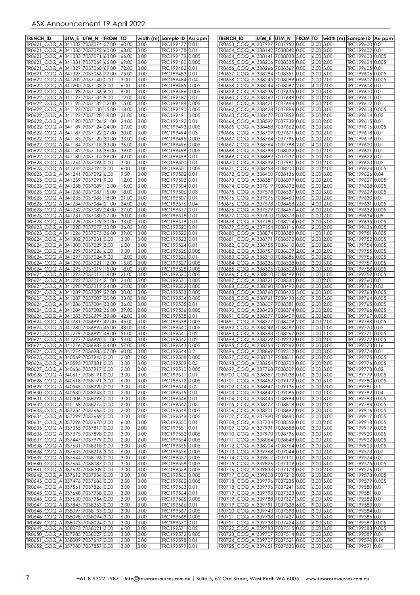| <b>TRENCH ID</b>                                                     | UTM E | UTM <sub>N</sub><br><b>FROM TO</b>   |                |              | width (m) Sample ID   Au ppm       | <b>TRENCH ID</b>                                                     | UTM E UTM N |              | <b>FROM TO</b> |                        | width (m) Sample ID  Au ppm        |  |
|----------------------------------------------------------------------|-------|--------------------------------------|----------------|--------------|------------------------------------|----------------------------------------------------------------------|-------------|--------------|----------------|------------------------|------------------------------------|--|
| TR0621 COQ A 341337 7037074 57.00                                    |       |                                      | 60.00          | 3.00         | TRC199477 0.01                     | TR0653 COQ A 337997                                                  |             | 7037952      | 10.00          | 3.00 3.00              | TRC199600 0.01                     |  |
| TR0621                                                               |       | COQ_A 341335 7037072<br>60.00        | 63.00          | 3.00         | TRC199478 0.01                     | TR0654 COQ A 338142 7038040 0.00                                     |             |              |                | 3.00 3.00              | TRC199602 0.01                     |  |
| TR0621                                                               |       | COQ A 341333 7037071<br>63.00        | 66.00          | 3.00         | TRC199479 0.005                    | TR0654 COQ A 338141 7038038 3.00                                     |             |              |                | $6.00$ 3.00            | TRC199603 0.005                    |  |
| COQ_A 341331 7037069<br>TR0621<br>TR0621_COQ_A 341329                |       | 66.00<br>7037068<br>69.00            | 69.00<br>72.00 | 3.00<br>3.00 | TRC199480 0.005<br>TRC199482 0.01  | TR0655_COQ_A 338206 7038335 0.00<br>TR0656 COQ A 338266 7038369 0.00 |             |              |                | 2.00 2.00<br>3.00 3.00 | TRC199604 0.005<br>TRC199605 0.01  |  |
| TR0621_COQ_A 341327                                                  |       | 7037066<br>72.00                     | 75.00          | 3.00         | TRC199483 0.01                     | TR0657_COQ_A 338284 7038351                                          |             |              | 0.00           | 3.00 3.00              | TRC199606 0.005                    |  |
| TR0622_COQ_A 341202 7037140 0.00                                     |       |                                      | 3.00           | 3.00         | TRC199484 0.04                     | TR0658 COQ A 338245 7038099 0.00                                     |             |              |                | 2.00 2.00              | TRC199607 0.005                    |  |
| TR0622_COQ_A 341200                                                  |       | 7037138<br>3.00                      | 6.00           | 3.00         | TRC199485 0.005                    | TR0658_COQ_A 338244 7038097                                          |             |              | 2.00           | 4.00 2.00              | TRC199608 0.01                     |  |
| TR0622_COQ_A 341198 7037136 6.00                                     |       |                                      | 9.00           | 3.00         | TRC199486 0.005                    | TR0659_COQ_A 338236 7037635 0.00                                     |             |              |                | 3.00 3.00              | TRC199610 0.01                     |  |
| TR0622_COQ_A 341197 7037134 9.00                                     |       |                                      | 12.00          | 3.00         | TRC199487 0.01                     | TR0660_COQ_A 338162 7037648 0.00                                     |             |              |                | 2.00 2.00              | TRC199611 0.01                     |  |
| TR0622_COQ_A 341195 7037132<br>TR0622 COQ A 341193 7037130           |       | 12.00                                | 15.00          | 3.00         | TRC199488 0.005<br>TRC199490 0.005 | TR0661_COQ_A 338421 7037684<br>TR0662 COQ A 338428 7037886           |             |              | 0.00<br> 0.00  | 2.00 2.00<br>3.00 3.00 | TRC199612 0.01                     |  |
| TR0622_COQ_A 341192 7037128                                          |       | 15.00<br>18.00                       | 18.00<br>21.00 | 3.00<br>3.00 | TRC199491 0.005                    | TR0663_COQ_A 338472 7037859 0.00                                     |             |              |                | 2.00 2.00              | TRC199613 0.005<br>TRC199614 0.02  |  |
| TR0622_COQ_A 341190 7037126 21.00                                    |       |                                      | 24.00          | 3.00         | TRC199492 0.01                     | TR0664_COQ_A 338599 7037739                                          |             |              | 0.00           | 2.00 2.00              | TRC199615 0.01                     |  |
| TR0622_COQ_A 341189 7037124 24.00                                    |       |                                      | 27.00          | 3.00         | TRC199493 0.005                    | TR0665_COQ_A 338458 7037662                                          |             |              | 0.00           | 3.00 3.00              | TRC199616 0.005                    |  |
| TR0622_COQ_A 341187                                                  |       | 7037122 27.00                        | 30.00          | 3.00         | TRC199494 0.03                     | TR0666 COQ_A 338709 7037671                                          |             |              | 0.00           | 2.00 2.00              | TRC199618 0.01                     |  |
| TR0622_COQ_A 341185 7037120                                          |       | 30.00                                | 33.00          | 3.00         | TRC199495 0.005                    | TR0667_COQ_A 338764 7037796                                          |             |              | 0.00           | 2.00 2.00              | TRC199619 0.01                     |  |
| TR0622_COQ_A 341184 7037118 33.00<br>TR0622_COQ_A 341182             |       | 7037116 36.00                        | 36.00<br>39.00 | 3.00<br>3.00 | TRC199496 0.005<br>TRC199498 0.005 | TR0667_COQ_A 338764 7037798<br>TR0668_COQ_A 338793 7038022           |             |              | 12.00<br> 0.00 | 4.00 2.00<br>2.00 2.00 | TRC199620 0.01<br>TRC199621 0.01   |  |
| TR0622_COQ_A 341180 7037114 39.00                                    |       |                                      | 42.00          | 3.00         | TRC199499 0.01                     | TR0669_COQ_A 338692 7037537                                          |             |              | 0.00           | 2.00 2.00              | TRC199622 0.01                     |  |
| TR0623_COQ_A 341244 7037096 0.00                                     |       |                                      | 3.00           | 3.00         | TRC199500 0.01                     | TR0670_COQ_A 338539 7037981                                          |             |              | 0.00           | 2.00 2.00              | TRC199623 0.02                     |  |
| TR0623_COQ_A 341242                                                  |       | 7037094<br>3.00                      | 6.00           | 3.00         | TRC199501 0.005                    | TR0671_COQ_A 338458 7038200 0.00                                     |             |              |                | 2.00 2.00              | TRC199624 0.005                    |  |
| TR0623_COQ_A 341241                                                  |       | 7037092<br>6.00                      | 9.00           | 3.00         | TRC199502 0.01                     | TR0672_COQ_A 338400 7038136 0.00                                     |             |              |                | 3.00 3.00              | TRC199626 0.04                     |  |
| TR0623 COQ A 341239                                                  |       | 7037091 9.00                         | 12.00          | 3.00         | TRC199503 0.01                     | TR0673 COQ A 338387 7038099 0.00                                     |             |              |                | 2.00 2.00              | TRC199627 0.005                    |  |
| TR0623_COQ_A 341238 7037089<br>TR0623 COQ A 341236                   |       | 12.00<br>7037087<br>15.00            | 15.00<br>18.00 | 3.00<br>3.00 | TRC199504 0.01<br>TRC199506 0.03   | TR0674_COQ_A 337619 7038692<br>TR0675 COQ A 337578 7038537           |             |              | 0.00<br> 0.00  | 2.00 2.00<br>3.00 3.00 | TRC199628 0.005<br>TRC199629 0.005 |  |
| TR0623_COQ_A 341235 7037086                                          |       | 18.00                                | 21.00          | 3.00         | TRC199507  0.01                    | TR0676_COQ_A 337576 7038460 0.00                                     |             |              |                | 2.00 2.00              | TRC199630 0.01                     |  |
| TR0623_COQ_A 341234 7037084 21.00                                    |       |                                      | 24.00          | 3.00         | TRC199516 0.04                     | TR0676_COQ_A 337578 7038458 2.00                                     |             |              |                | 4.00 2.00              | TRC199631 0.005                    |  |
| TR0623_COQ_A 341232                                                  |       | 7037082<br>24.00                     | 27.00          | 3.00         | TRC199517 0.01                     | TR0676 COQ Al337579 7038457 4.00                                     |             |              |                | 6.00 2.00              | TRC199632 0.005                    |  |
| TR0623_COQ_A 341231 7037080                                          |       | 27.00                                | 30.00          | 3.00         | TRC199518 0.01                     | TR0677_COQ_A 337610 7038373 0.00                                     |             |              |                | 2.00 2.00              | TRC199634 0.09                     |  |
| TR0623_COQ_A 341229 7037079                                          |       | 30.00<br>33.00<br>7037077            | 33.00<br>36.00 | 3.00<br>3.00 | TRC199519 0.01<br>TRC199520 0.01   | TR0678_COQ_A 337180 7038214 0.00                                     |             |              |                | 3.00 3.00<br>2.00 2.00 | TRC199635 0.005                    |  |
| TR0623_COQ_A 341228<br>TR0623_COQ_A 341226                           |       | 7037075 36.00                        | 39.00          | 3.00         | TRC199522 0.01                     | TR0679_COQ_A 337154 7038116 0.00<br>TR0680_COQ_A 338874 7038389 0.00 |             |              |                | $1.00$   1.00          | TRC199636 0.005<br>TRC199751 0.005 |  |
| TR0624_COQ_A 341302                                                  |       | 7037031 0.00                         | 3.00           | 3.00         | TRC199523 0.01                     | TR0681_COQ_A 338771                                                  |             | 7038572 0.00 |                | 2.00 2.00              | TRC199752 0.005                    |  |
| TR0624_COQ_A 341300 7037029 3.00                                     |       |                                      | 6.00           | 3.00         | TRC199524 0.01                     | TR0682_COQ_A 338755 7038610 0.00                                     |             |              |                | 2.00 2.00              | TRC199754 0.005                    |  |
| TR0624_COQ_A 341299 7037026 6.00                                     |       |                                      | 9.00           | 3.00         | TRC199525 0.005                    | TR0682_COQ_A 338757 7038609 2.00                                     |             |              |                | 4.00 2.00              | TRC199755 0.005                    |  |
| TR0624_COQ_A 341297 7037024 9.00                                     |       |                                      | 12.00          | 3.00         | TRC199526 0.01                     | TR0683_COQ_A 338310 7038686 0.00                                     |             |              |                | 2.00 2.00              | TRC199756 0.005                    |  |
| TR0624_COQ_A 341296<br>TR0624_COQ_A 341295                           |       | 7037021<br>12.00<br>7037019<br>15.00 | 15.00<br>18.00 | 3.00<br>3.00 | TRC199527 0.005<br>TRC199528 0.005 | TR0684_COQ_A 338336 7038528 0.00<br>TR0685_COQ_A 338325 7038502      |             |              | 0.00           | 3.00 3.00<br>3.00 3.00 | TRC199757 0.005<br>TRC199758 0.005 |  |
| TR0624 COQ A 341293                                                  |       | 7037017<br>18.00                     | 21.00          | 3.00         | TRC199530 0.005                    | TR0686 COQ A 338810 7038499 0.00                                     |             |              |                | $1.00$   1.00          | TRC199759 0.005                    |  |
| TR0624_COQ_A 341292                                                  |       | 7037014<br>21.00                     | 24.00          | 3.00         | TRC199531 0.005                    | TR0687_COQ_A 338721 7038330 0.00                                     |             |              |                | 2.00 2.00              | TRC199760 0.01                     |  |
| TR0624_COQ_A 341290                                                  |       | 7037012 24.00                        | 27.00          | 3.00         | TRC199532 0.005                    | TR0688_COQ_A 338760 7038492 0.00                                     |             |              |                | 3.00 3.00              | TRC199762 0.03                     |  |
| TR0624_COQ_A 341289 7037009                                          |       | 27.00                                | 30.00          | 3.00         | TRC199533 0.005                    | TR0688_COQ_A 338760 7038495 3.00                                     |             |              |                | $6.00$ 3.00            | TRC199763 0.005                    |  |
| TR0624_COQ_A 341287                                                  |       | 7037007<br>30.00                     | 33.00          | 3.00         | TRC199534 0.005                    | TR0688_COQ_A 338761                                                  |             | 7038498 6.00 |                | $9.00$ 3.00            | TRC199764 0.005                    |  |
| TR0624_COQ_A 341286 7037004<br>TR0624_COQ_A 341284                   |       | 33.00<br>7037002<br>36.00            | 36.00<br>39.00 | 3.00<br>3.00 | TRC199535 0.01<br>TRC199536 0.005  | TR0689_COQ_A 338607 7038381<br>TR0690 COQ A 338423 7038374 0.00      |             |              | 0.00           | 2.00 2.00<br>2.00 2.00 | TRC199765 0.005<br>TRC199766 0.005 |  |
| TR0624_COQ_A 341283                                                  |       | 7036999<br>39.00                     | 42.00          | 3.00         | TRC199538 0.01                     | TR0691 COQ A133837717038407                                          |             |              | 0.00           | 2.00 2.00              | TRC199767 0.005                    |  |
| TR0624_COQ_A 341281                                                  |       | 7036997<br>42.00                     | 45.00          | 3.00         | TRC199539 0.005                    | TR0691_COQ_A 338377                                                  |             | 7038409 2.00 |                | 4.00 2.00              | TRC199768 0.005                    |  |
| TR0624_COQ_A 341280                                                  |       | 7036995<br>45.00                     | 48.00          | 3.00         | TRC199540 0.005                    | TR0692 COQ A 338249 7038487                                          |             |              | 10.00          | $1.00$   1.00          | TRC199770 0.02                     |  |
| TR0624 COQ A 341279                                                  |       | 7036992<br>48.00                     | 51.00          | 3.00         | TRC199541 0.02                     | TR0693 COQ A 338383 7038267                                          |             |              | 0.00           | 1.00 1.00              | TRC199771 0.005                    |  |
| TR0624_COQ_A 341277<br>TR0624 COQ A 341276                           |       | 7036990<br>51.00<br>7036987<br>54.00 | 54.00<br>57.00 | 3.00<br>3.00 | TRC199542 0.02<br>TRC199543 0.005  | TR0694 COQ A 338729 7039232 0.00<br>TR0695_COQ_A 338754 7039269 0.00 |             |              |                | 2.00 2.00<br>3.00 3.00 | TRC199772 0.005<br>TRC199773 0.16  |  |
| TR0624 COQ A 341274 7036985 57.00                                    |       |                                      | 60.00          | 3.00         | TRC199544 0.2                      | TR0696_COQ_A 338869 7039312 0.00                                     |             |              |                | 3.00 3.00              | TRC199774 0.01                     |  |
| TR0625_COQ_A 340569 7037945 0.00                                     |       |                                      | 2.00           | 2.00         | TRC199508 0.005                    | TR0697 COQ A 338737 7038811 0.00                                     |             |              |                | 2.00 2.00              | TRC199775 0.005                    |  |
| TR0626_COQ_A 340593 7037881 0.00                                     |       |                                      | 3.00           | 3.00         | TRC199509 0.05                     | TR0698_COQ_A 338254 7038702 0.00                                     |             |              |                | 2.00 2.00              | TRC199776 0.005                    |  |
| TR0627_COQ_A 340636 7037917 0.00                                     |       |                                      | 2.00           | 2.00         | TRC199510 0.005                    | TR0699_COQ_A 337768 7038309 0.00                                     |             |              |                | 3.00 3.00              | TRC199778 0.02                     |  |
| TR0628_COQ_A 340617 7038191 0.00<br>TR0628_COQ_A 340618 7038191 3.00 |       |                                      | 3.00<br>6.00   | 3.00<br>3.00 | TRC199511 0.01<br>TRC199512 0.005  | TR0700_COQ_A 338357 7039038 0.00<br>TR0701_COQ_A 338452 7039172 0.00 |             |              |                | 3.00 3.00<br>3.00 3.00 | TRC199779 0.005<br>TRC199780 0.005 |  |
| TR0629_COQ_A 340543 7038220 0.00                                     |       |                                      | 3.00           | 3.00         | TRC199514 0.02                     | TR0702_COQ_A 338647 7039136 0.00                                     |             |              |                | 2.00 2.00              | TRC199781 0.1                      |  |
| TR0630_COQ_A 340530 7038243 0.00                                     |       |                                      | 2.00           | 2.00         | TRC199515 0.01                     | TR0703_COQ_A 338642 7039095 0.00                                     |             |              |                | $1.00$  1.00           | TRC199782 0.04                     |  |
| TR0631_COQ_A 340306 7038293 0.00                                     |       |                                      | 3.00           | 3.00         | TRC199546 0.01                     | TR0704_COQ_A 338445 7038994 0.00                                     |             |              |                | 3.00 3.00              | TRC199783 0.005                    |  |
| TR0632_COQ_A 340168 7038275 0.00                                     |       |                                      | 2.00           | 2.00         | TRC199547 0.03                     | TR0705 COQ A 338477 7038818 0.00                                     |             |              |                | 2.00 2.00              | TRC199784 0.005                    |  |
| TR0633_COQ_A 337254 7037665 0.00<br>TR0634_COQ_A 337299 7037669 0.00 |       |                                      | 2.00<br>3.00   | 2.00<br>3.00 | TRC199548 0.005<br>TRC199549 0.005 | TR0706_COQ_A 338201 7038692 0.00<br>TR0707_COQ_A 337990 7038680 0.00 |             |              |                | 3.00 3.00<br>3.00 3.00 | TRC19991610.005<br>TRC199917 0.005 |  |
| TR0634_COQ_A 337296 7037670 3.00                                     |       |                                      | 6.00           | 3.00         | TRC199550 0.01                     | TR0708_COQ_A 337734 7038559 0.00                                     |             |              |                | 2.00 2.00              | TRC199918 0.005                    |  |
| TR0635_COQ_A 337355 7037817 0.00                                     |       |                                      | 2.00           | 2.00         | TRC199551 0.01                     | TR0709_COQ_A 337991 7038558 0.00                                     |             |              |                | 3.00 3.00              | TRC199919 0.005                    |  |
| TR0636 COQ A 337375 7037898 0.00                                     |       |                                      | 3.00           | 3.00         | TRC199552 0.005                    | TR0710_COQ_A 337970 7038796 0.00                                     |             |              |                | 3.00 3.00              | TRC199920 0.005                    |  |
| TR0637_COQ_A 337447 7037979 0.00                                     |       |                                      | 2.00           | 2.00         | TRC199554 0.005                    | TR0711_COQ_A 338064 7038848 0.00                                     |             |              |                | 2.00 2.00              | TRC199922 0.005                    |  |
| TR0638_COQ_A 337631 7038218 0.00                                     |       |                                      | 3.00           | 3.00         | TRC199555 0.005                    | TR0712_COQ_A 338204 7038764 0.00                                     |             |              |                | 3.00 3.00              | TRC199923 0.005                    |  |
| TR0638_COQ_A 337635 7038216 3.00<br>TR0639_COQ_A 337644 7038196 0.00 |       |                                      | 6.00<br>3.00   | 3.00<br>3.00 | TRC199556 0.005<br>TRC199557 0.005 | TR0713_COQ_A 339768 7037044 0.00<br>TR0714_COQ_A 339817 7037101 0.00 |             |              |                | 2.00 2.00<br>3.00 3.00 | TRC199573 0.07<br>TRC199574 0.01   |  |
| TR0640_COQ_A 337654 7038087 0.00                                     |       |                                      | 3.00           | 3.00         | TRC199558 0.005                    | TR0715_COQ_A 339826 7037109 0.00                                     |             |              |                | 3.00 3.00              | TRC199575 0.005                    |  |
| TR0641_COQ_A 337624 7038009 0.00                                     |       |                                      | 3.00           | 3.00         | TRC199559 0.005                    | TR0716_COQ_A 339833 7037173 0.00                                     |             |              |                | 2.00 2.00              | TRC199576 0.01                     |  |
| TR0642_COQ_A 337612 7037936 0.00                                     |       |                                      | 3.00           | 3.00         | TRC199560 0.005                    | TR0717_COQ_A 339808 7037212 0.00                                     |             |              |                | 2.00 2.00              | TRC199578 0.005                    |  |
| TR0643_COQ_A 337476 7037686 0.00                                     |       |                                      | 3.00           | 3.00         | TRC199562 0.005                    | TR0718_COQ_A 339796 7037235 0.00                                     |             |              |                | 3.00 3.00              | TRC199579 0.005                    |  |
| TR0644_COQ_A 337561 7037826 0.00<br>TR0645_COQ_A 337648 7037938 0.00 |       |                                      | 3.00<br>3.00   | 3.00<br>3.00 | TRC199563 0.01<br>TRC199564 0.01   | TR0718_COQ_A 339796 7037241 3.00<br>TR0719_COQ_A 339793 7037323 0.00 |             |              |                | 6.00 3.00<br>3.00 3.00 | TRC199580 0.01<br>TRC199581 0.01   |  |
| TR0646_COQ_A 337630 7037954 0.00                                     |       |                                      | 3.00           | 3.00         | TRC199565 0.005                    | TR0719_COQ_A 339788 7037327 3.00                                     |             |              |                | 6.00 3.00              | TRC199582 0.01                     |  |
| TR0647_COQ_A 337845 7038363 0.00                                     |       |                                      | 3.00           | 3.00         | TRC199566 0.01                     | TR0719_COQ_A 339791 7037328 6.00                                     |             |              |                | 9.00 3.00              | TRC199583 0.01                     |  |
| TR0648_COQ_A 338097 7038153 0.00                                     |       |                                      | 3.00           | 3.00         | TRC199567 0.005                    | TR0720_COQ_A 339743 7037398 0.00                                     |             |              |                | 3.00   3.00            | TRC199584 0.01                     |  |
| TR0648_COQ_A 338098 7038094 3.00                                     |       |                                      | 6.00           | 3.00         | TRC199568 0.005                    | TR0721_COQ_A 339738 7037427 0.00                                     |             |              |                | 3.00 3.00              | TRC199586 0.01                     |  |
| TR0649_COQ_A 338073 7038024 0.00<br>TR0649_COQ_A 338073 7038021 3.00 |       |                                      | 3.00<br>6.00   | 3.00<br>3.00 | TRC199570 0.01<br>TRC199571 0.02   | TR0721_COQ_A 339738 7037424 3.00<br>TR0722_COQ_A 339783 7037515 0.00 |             |              |                | 6.00 3.00<br>3.00 3.00 | TRC199587 0.005<br>TRC199588 0.005 |  |
| TR0650_COQ_A 337985 7038027 0.00                                     |       |                                      | 3.00           | 3.00         | TRC199572 0.005                    | TR0723_COQ_A 339707 7037514 0.00                                     |             |              |                | 3.00 3.00              | TRC199589 0.01                     |  |
| TR0651_COQ_A 338009 7037647 0.00                                     |       |                                      | 2.00           | 2.00         | TRC199598 0.01                     | TR0724_COQ_A 339707 7037521 0.00                                     |             |              |                | $3.00\,3.00$           | TRC199590 0.14                     |  |
| TR0652_COQ_A 337980 7037857 0.00                                     |       |                                      | 3.00           | 3.00         | TRC199599 0.01                     | TR0725_COQ_A 339651 7037530 0.00                                     |             |              |                | 3.00 3.00              | TRC199591 0.01                     |  |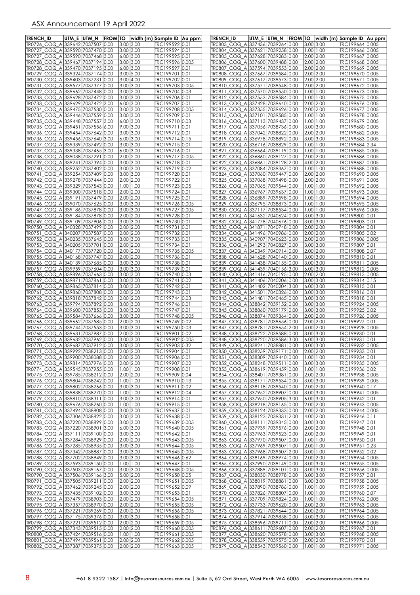| <b>TRENCH ID</b>                                                     | UTM_E  UTM_N | <b>FROM TO</b> |                            | width (m) Sample ID   Au ppm       | <b>TRENCH ID</b>                                                     | UTM_E UTM_N  | <b>FROM TO</b> |                              |                                | width (m) Sample ID Au ppm         |  |
|----------------------------------------------------------------------|--------------|----------------|----------------------------|------------------------------------|----------------------------------------------------------------------|--------------|----------------|------------------------------|--------------------------------|------------------------------------|--|
| TR0726 COQ A 339642 7037507 0.00                                     |              |                | $3.00$ 3.00                | TRC199592 0.01                     | TR0803 COQ A 337436 7039264 0.00                                     |              |                |                              | 3.00 3.00                      | TRC199664 0.005                    |  |
| TR0727_COQ_A 339590 7037470 0.00                                     |              |                | 3.00 3.00                  | TRC199594 0.01                     | TR0804_COQ_A 337621 7039258 0.00                                     |              |                |                              | $1.00$   1.00                  | TRC199666 0.005                    |  |
| TR0727 COQ A 339590 7037468 3.00<br>TR0728_COQ_A 339467 7037194 0.00 |              |                | $6.00$ 3.00<br>$3.00$ 3.00 | TRC199595 0.01<br>TRC199596 0.005  | TR0805_COQ_A 337628 7039283 0.00<br>TR0806_COQ_A 337600 7039488 0.00 |              |                | 2.00 2.00<br>2.00 2.00       |                                | TRC199667 0.005<br>TRC199668 0.005 |  |
| TR0728_COQ_A 339470 7037195 3.00                                     |              |                | 6.00 3.00                  | TRC199597 0.01                     | TR0807_COQ_A 337594 7039553 0.00                                     |              |                | 2.00 2.00                    |                                | TRC199669 0.005                    |  |
| TR0729_COQ_A 339324 7037174 0.00                                     |              |                | $3.00\,$ 5.00              | TRC199701 0.01                     | TR0808 COQ A 337667 7039584 0.00                                     |              |                | 2.00 2.00                    |                                | TRC199670 0.005                    |  |
| TR0730 COQ A 339403 7037231                                          |              | 0.00           | 3.00 4.00                  | TRC199702 0.01                     | TR0809 COQ A 337617 7039573 0.00                                     |              |                | 2.00 2.00                    |                                | TRC199671 0.005                    |  |
| TR0731_COQ_A 339577 7037377 0.00                                     |              |                | $3.00\,$ 3.00              | TRC199703 0.005                    | TR0810 COQ A 337571 7039548 0.00                                     |              |                | 2.00 2.00                    |                                | TRC199672 0.005                    |  |
| TR0732_COQ_A 339662 7037448 0.00<br>TR0733_COQ_A 339628 7037472 0.00 |              |                | 3.00 2.00<br>$3.00$ 3.00   | TRC199704 0.03<br>TRC199706 0.01   | TR0811_COQ_A 337570 7039550 0.00<br>TR0812_COQ_A 337553 7039584 0.00 |              |                |                              | 1.00   1.00<br>$1.00$   1.00   | TRC199673 0.005<br>TRC199675 0.005 |  |
| TR0733_COQ_A 339629 7037472 3.00                                     |              |                | 6.00 3.00                  | TRC199707 0.01                     | TR0813_COQ_A 337428 7039640 0.00                                     |              |                | 2.00 2.00                    |                                | TRC199676 0.005                    |  |
| TR0734 COQ A 339475 7037530 0.00                                     |              |                | 3.00 3.00                  | TRC199708 0.005                    | TR0814_COQ_A 337355 7039626 0.00                                     |              |                | 2.00 2.00                    |                                | TRC199677 0.005                    |  |
| TR0735_COQ_A 339446 7037559 0.00                                     |              |                | $3.00$ 3.00                | TRC199709 0.01                     | <u>TR0815_COQ_A 33</u> 7101 7039585 0.00                             |              |                |                              | $1.00$   1.00                  | TRC199678 0.005                    |  |
| TR0735_COQ_A 339448 7037557 3.00<br>TR0735_COQ_A 339451 7037556 6.00 |              |                | 6.00 3.00<br>9.00 3.00     | TRC199710 0.03<br>TRC199711 0.01   | TR0816_COQ_A 337113 7039437 0.00<br>TR0817_COQ_A 337056 7038736 0.00 |              |                | 3.00 3.00                    | 1.00   1.00                    | TRC199679 0.005<br>TRC199680 0.005 |  |
| TR0736 COQ A 339454 7037642 0.00                                     |              |                | 3.00 3.00                  | TRC199712 0.01                     | TR0818_COQ_A 337042 7038822 0.00                                     |              |                |                              | 2.00 2.00                      | TRC199682 0.005                    |  |
| TR0736_COQ_A 339456 7037640 3.00                                     |              |                | 6.00 3.00                  | TRC199714 0.15                     | TR0819_COQ_A 336978 7038892 0.00                                     |              |                | 3.00 3.00                    |                                | TRC199683 0.005                    |  |
| TR0737_COQ_A 339339 7037492 0.00                                     |              |                | $3.00$ 3.00                | TRC199715 0.01                     | TR0820_COQ_A 336716 7038829 0.00                                     |              |                |                              | $1.00$   1.00                  | TRC199684 2.34                     |  |
| TR0737_COQ_A 339338 7037465 3.00<br>TR0738_COQ_A 339038 7037291 0.00 |              |                | 6.00 3.00<br>2.00 2.00     | TRC199716 0.01<br>TRC199717 0.005  | TR0821_COQ_A 336664 7039119 0.00<br>TR0822_COQ_A 336860 7039127 0.00 |              |                | 2.00 2.00                    | $1.00$   1.00                  | TRC199685 0.005<br>TRC199686 0.005 |  |
| TR0739_COQ_A 339241 7037394 0.00                                     |              |                | 3.00 3.00                  | TRC199718 0.01                     | TR0822_COQ_A 336861 7039128 2.00                                     |              |                |                              | 4.00 2.00                      | TRC199687 0.005                    |  |
| TR0740_COQ_A 339252 7037402 0.00                                     |              |                | 3.00 3.00                  | TRC199719 0.02                     | TR0823_COQ_A 337084 7039367 0.00                                     |              |                |                              | $1.00$   1.00                  | TRC199688 0.005                    |  |
| TR0741_COQ_A 339254 7037409 0.00                                     |              |                | $3.00\,$ 3.00              | TRC199720 0.01                     | TR0824_COQ_A 337060 7039447 0.00                                     |              |                | 2.00 2.00                    |                                | TRC199690 0.005                    |  |
| TR0742_COQ_A 339278 7037444 0.00                                     |              |                | 2.00 2.00<br>1.0011.00     | TRC199722 0.01<br>TRC199723 0.05   | TR0825_COQ_A 337068 7039498 0.00<br>TR0826 COQ A 337065 7039544 0.00 |              |                | 2.00 2.00                    | $1.00$   1.00                  | TRC199691 0.005<br>TRC199692 0.005 |  |
| TR0743_COQ_A 339329 7037543 0.00<br>TR0744 COQ A 339300 7037518 0.00 |              |                | 2.00 2.00                  | TRC199724 0.01                     | TR0827_COQ_A 336967 7039637 0.00                                     |              |                |                              | $1.00$   1.00                  | TRC199693 0.005                    |  |
| TR0745_COQ_A 339191 7037479 0.00                                     |              |                | 2.00 2.00                  | TRC199725 0.01                     | TR0828_COQ_A 336889 7039598 0.00                                     |              |                |                              | $1.00$   1.00                  | TRC199694 0.005                    |  |
| TR0746_COQ_A 339070 7037625 0.00                                     |              |                | $3.00$ 3.00                | TRC199726 0.005                    | TR0829_COQ_A 336795 7038873 0.00                                     |              |                |                              | $1.00$   1.00                  | TRC199695 0.005                    |  |
| TR0747_COQ_A 339186 7037878 0.00                                     |              |                | $3.00\,$ 3.00              | TRC199727 0.005                    | TR0830_COQ_A 337117 7038534 0.00                                     |              |                |                              | $1.00$   1.00                  | TRC199696 0.005                    |  |
| TR0748_COQ_A 339184 7037878 0.00<br>TR0749_COQ_A 339109 7037906 0.00 |              |                | 2.00 2.00<br>$3.00$ 3.00   | TRC199728 0.01<br>TRC199730 0.01   | TR0831_COQ_A 341632 7040624 0.00<br>TR0832_COQ_A 341778 7040676 0.00 |              |                | 3.00 3.00<br>3.00 3.00       |                                | TRC199802 0.01<br>TRC199803 0.01   |  |
| TR0750_COQ_A 340328 7037499 0.00                                     |              |                | 2.00 2.00                  | TRC199731 0.01                     | TR0833_COQ_A 341871 7040748 0.00                                     |              |                | 2.00 2.00                    |                                | TRC199804 0.01                     |  |
| TR0751_COQ_A 340207 7037587 0.00                                     |              |                | 2.00 2.00                  | TRC199732 0.01                     | TR0834_COQ_A 341496 7040986 0.00                                     |              |                | 2.00 2.00                    |                                | TRC199805 0.02                     |  |
| TR0752_COQ_A 340235 7037645 0.00                                     |              |                | $3.00$ 3.00                | TRC199733 0.01                     | TR0835_COQ_A 340907 7040623 0.00                                     |              |                | 2.00 2.00                    |                                | TRC199806 0.005                    |  |
| TR0753_COQ_A 340205 7037701 0.00<br>TR0754_COQ_A 340177 7037720 0.00 |              |                | 2.00 2.00<br>2.00 2.00     | TRC199734 0.01<br>TRC199735 0.005  | TR0836_COQ_A 341293 7040827 0.00<br>TR0837_COQ_A 340349 7040914 0.00 |              |                | 2.00 2.00                    | 3.00 3.00                      | TRC199807 0.01<br>TRC199808 0.07   |  |
| TR0755_COQ_A 340168 7037747 0.00                                     |              |                | 2.00 2.00                  | TRC199736 0.01                     | TR0838_COQ_A 341628 7040140 0.00                                     |              |                | 3.00 3.00                    |                                | TRC199810 0.01                     |  |
| TR0756_COQ_A 340139 7037685 0.00                                     |              |                | $3.00$ 3.00                | TRC199738 0.01                     | TR0839_COQ_A 341438 7040155 0.00                                     |              |                | 3.00 3.00                    |                                | TRC199811 0.005                    |  |
| TR0757_COQ_A 339959 7037604 0.00                                     |              |                | $3.00$ 3.00                | TRC199739 0.01                     | TR0839 COQ A 341439 7040156 3.00                                     |              |                | 6.00 3.00                    |                                | TRC199812 0.005                    |  |
| TR0758_COQ_A 339896 7037663 0.00<br>TR0759_COQ_A 339871 7037861 0.00 |              |                | 3.00 3.00<br>$3.00$ 3.00   | TRC199740 0.03<br>TRC199741 0.02   | TR0840_COQ_A 341416 7040195 0.00<br>TR0841_COQ_A 341406 7040206 0.00 |              |                | 2.00 2.00<br>3.00 3.00       |                                | TRC199813 0.005<br>TRC199814 0.15  |  |
| TR0760_COQ_A 339865 7037814 0.00                                     |              |                | 3.00 3.00                  | TRC199742 0.01                     | TR0841_COQ_A 341402 7040204 3.00                                     |              |                | 6.00 3.00                    |                                | TRC199815 0.01                     |  |
| TR0761_COQ_A 339860 7037808 0.00                                     |              |                | 2.00 2.00                  | TRC199743 0.01                     | TR0842_COQ_A 341501 7040326 0.00                                     |              |                | 3.00 3.00                    |                                | TRC199816 0.01                     |  |
| TR0762_COQ_A 339818 7037842 0.00                                     |              |                | 2.00 2.00                  | TRC199744 0.03                     | TR0843_COQ_A 341481 7040465 0.00                                     |              |                | 3.00 3.00                    |                                | TRC199818 0.01                     |  |
| TR0763_COQ_A 339794 7037892 0.00                                     |              |                | 3.00 3.00                  | TRC199746 0.01                     | TR0844_COQ_A 338842 7039152 0.00                                     |              |                | 3.00 3.00                    |                                | TRC199924 0.005                    |  |
| TR0764_COQ_A 339600 7037853 0.00<br>TR0765_COQ_A 339584 7037666 0.00 |              |                | $3.00$ 3.00<br>$3.00$ 3.00 | TRC199747 0.01<br>TRC199748 0.005  | TR0845_COQ_A 338860 7039179 0.00<br>TR0846 COQ A 338874 7039364 0.00 |              |                | 3.00 3.00<br>2.00 2.00       |                                | TRC199925 0.02<br>TRC199926 0.005  |  |
| TR0766_COQ_A 339662 7037585 0.00                                     |              |                | 2.00 2.00                  | TRC199749 0.02                     | TR0847 COQ A 338781 7039656 0.00                                     |              |                | 2.00 2.00                    |                                | TRC199927 0.01                     |  |
| TR0767_COQ_A 339744 7037553 0.00                                     |              |                | 3.00 3.00                  | TRC199750 0.03                     | TR0847_COQ_A 338781                                                  | 7039654 2.00 |                | 4.00 2.00                    |                                | TRC199928 0.005                    |  |
| TR0768 COQ A 339631 7037987 0.00                                     |              |                | 2.00 2.00                  | TRC199901 0.02                     | TR0848 COQ A 338722 7039588 0.00                                     |              |                | 3.00 3.00                    |                                | TRC199930 0.01                     |  |
| TR0769_COQ_A 339632 7037962 0.00<br>TR0770 COQ A 339687 7037912 0.00 |              |                | $3.00$ 3.00<br>3.00 3.00   | TRC19990210.005<br>TRC199903 0.32  | TR0848 COQ A 338720 7039586 3.00<br>TR0849_COQ_A 338241 7038881 0.00 |              |                | $6.00$ 3.00<br>3.00 3.00     |                                | TRC199931 0.01<br>TRC199932 0.005  |  |
| IR0771 COQ A13399921703821310.00                                     |              |                | 12.0012.00                 | IRC19990410.01                     | IR0850_COQ_A 338259  7039   71  0.00                                 |              |                |                              | 2.00 2.00                      | IRC199933 0.01                     |  |
| TR0772_COQ_A 339900 7038088 0.00                                     |              |                | 2.00 2.00                  | TRC199906 0.01                     | TR0851 COQ A 338309 7039440 0.00                                     |              |                | $1.00$ 1.00                  |                                | TRC199934 0.01                     |  |
| TR0773_COQ_A 339814 7037976 0.00                                     |              |                | 2.00 2.00                  | TRC199907 0.02                     | TR0852_COQ_A 338248 7039511 0.00                                     |              |                |                              | 3.00 3.00                      | TRC199935 0.005                    |  |
| TR0774 COQ A 339545 7037955 0.00<br>TR0775_COQ_A 339785 7038212 0.00 |              |                | 1.00 1.00<br>2.00 2.00     | TRC199908 0.01<br>TRC199909 0.04   | TR0853 COQ A 338619 7039459 0.00<br>TR0854 COQ A 338401 7039381 0.00 |              |                | 2.00 2.00                    | $1.00$ $1.00$                  | TRC199936 0.02<br>TRC199938 0.005  |  |
| TR0776_COQ_A 339804 7038242 0.00                                     |              |                | $1.00$   1.00              | TRC199910 0.13                     | TR0855_COQ_A 338171 7039534 0.00                                     |              |                | 3.00 3.00                    |                                | TRC199939 0.005                    |  |
| <u>TR0777_COQ_A 339802 7038266 0.00</u>                              |              |                | $3.00\,3.00$               | TRC199911 0.02                     | TR0856 COQ A 338118 7039540 0.00                                     |              |                | 2.00 2.00                    |                                | TRC199940 0.17                     |  |
| TR0778_COQ_A 339838 7038270 0.00                                     |              |                | 1.00 1.00                  | TRC199912 0.04                     | TR0857_COQ_A 337952 7038907 0.00                                     |              |                | $3.00\,$ $3.00$<br>6.00 3.00 |                                | TRC199941 0.005<br>TRC199942 0.01  |  |
| TR0779_COQ_A 339810 7038311 0.00<br>TR0780_COQ_A 339676 7038260 0.00 |              |                | 3.00 3.00<br>1.00 1.00     | TRC199914 0.01<br>TRC199915 0.01   | TR0857_COQ_A 337950 7038905 3.00<br>TR0858_COQ_A 338218 7039165 0.00 |              |                | 2.00 2.00                    |                                | TRC199943 0.005                    |  |
| TR0781 COQ A 337494 7038808 0.00                                     |              |                | 3.00 3.00                  | TRC199637 0.01                     | TR0859_COQ_A 338124 7039333 0.00                                     |              |                | 2.00 2.00                    |                                | TRC199944 0.005                    |  |
| TR0782_COQ_A 337306 7038822 0.00                                     |              |                | 3.00 3.00                  | TRC199638 0.01                     | TR0859_COQ_A 338123 7039331 2.00                                     |              |                | 4.00 2.00                    |                                | TRC199946 0.11                     |  |
| TR0783_COQ_A 337220 7038899 0.00<br>TR0783_COQ_A 337220 7038901 3.00 |              |                | 3.00 3.00<br>6.00 3.00     | TRC199639 0.005<br>TRC199640 0.005 | TR0860_COQ_A 338111 7039345 0.00<br>TR0861 COQ A 337939 7039576 0.00 |              |                | 3.00 3.00<br>2.00 2.00       |                                | TRC199947 0.01<br>TRC199948 0.01   |  |
| TR0784_COQ_A 337111 7039100 0.00                                     |              |                | 3.00 3.00                  | TRC199642 0.01                     | TR0862_COQ_A 337963 7039523 0.00                                     |              |                | 2.00 2.00                    |                                | TRC199949 0.01                     |  |
| TR0785_COQ_A 337284 7038929 0.00                                     |              |                | 2.00 2.00                  | TRC199643 0.005                    | TR0863 COQ A 337970 7039507 0.00                                     |              |                |                              | $1.00$   1.00                  | TRC199950 0.01                     |  |
| TR0786_COQ_A 337285 7038935 0.00                                     |              |                | 3.00 3.00                  | TRC199644 0.005                    | TR0863_COQ_A 337969 7039507 1.00                                     |              |                | 2.00 1.00                    |                                | TRC199951 0.23                     |  |
| TR0787_COQ_A 337342 7038887 0.00                                     |              |                | 3.00 3.00                  | TRC199645 0.005                    | TR0863_COQ_A 337968 7039507 2.00                                     |              |                | 3.00 1.00                    |                                | TRC199952 0.02                     |  |
| TR0788_COQ_A 337702 7038949 0.00<br>TR0789_COQ_A 337593 7039150 0.00 |              |                | 3.00 3.00<br> 1.00 1.00    | TRC199646 0.62<br>TRC199647 0.01   | TR0864 COQ A 338169 7038974 0.00<br>TR0865_COQ_A 337990 7039149 0.00 |              |                | 2.00 2.00<br>3.00 3.00       |                                | TRC199954 0.005<br>TRC199955 0.005 |  |
| TR0790_COQ_A 337503 7039167 0.00                                     |              |                | 3.00 3.00                  | TRC199648 0.005                    | TR0866_COQ_A 337889 7039101 0.00                                     |              |                | 3.00 3.00                    |                                | TRC199956 0.005                    |  |
| TR0790_COQ_A 337506 7039166 3.00                                     |              |                | 5.00 2.00                  | TRC199650 0.05                     | TR0867_COQ_A 338030 7038978 0.00                                     |              |                | 3.00 3.00                    |                                | TRC199957 0.01                     |  |
| TR0791_COQ_A 337505 7039211 0.00                                     |              |                | 2.00 2.00                  | TRC199651 0.005                    | TR0868_COQ_A 338019 7038881 0.00                                     |              |                | $3.00$ 3.00                  |                                | TRC199958 0.005                    |  |
| TR0792_COQ_A 337462 7039245 0.00<br>TR0793_COQ_A 337435 7039102 0.00 |              |                | 2.00 2.00<br>3.00 3.00     | TRC199652 0.09<br>TRC199653 0.01   | TR0869 COQ A 337890 7038786 0.00<br>TR0870_COQ_A 337826 7038807 0.00 |              |                |                              | $1.00$ $1.00$<br>$1.00$   1.00 | TRC199959 0.005<br>TRC199960 0.07  |  |
| TR0794_COQ_A 337479 7038903 0.00                                     |              |                | 2.00 2.00                  | TRC199654 0.005                    | TR0871_COQ_A 337709 7039824 0.00                                     |              |                |                              | 1.00 1.00                      | TRC199962 0.005                    |  |
| TR0795_COQ_A 337357 7038970 0.00                                     |              |                | 2.00 2.00                  | TRC199655 0.005                    | TR0872_COQ_A 337733 7039620 0.00                                     |              |                | 2.00 2.00                    |                                | TRC199963 0.005                    |  |
| TR0796_COQ_A 337221 7039269 0.00                                     |              |                | 2.00 2.00                  | TRC199656 0.005                    | TR0873_COQ_A 337821 7039644 0.00                                     |              |                | 2.00 2.00                    |                                | TRC199964 0.005                    |  |
| TR0797_COQ_A 337175 7039376 0.00<br>TR0798_COQ_A 337221 7039512 0.00 |              |                | 3.00 3.00<br>2.00 2.00     | TRC199658 0.01<br>TRC199659 0.005  | TR0874_COQ_A 337914 7039858 0.00<br>TR0875_COQ_A 338596 7039711 0.00 |              |                | 3.00 3.00<br>2.00 2.00       |                                | TRC199965 0.005<br>TRC199966 0.005 |  |
| TR0799_COQ_A 337343 7039515 0.00                                     |              |                | 2.00 2.00                  | TRC199660 0.005                    | TR0876_COQ_A 338611 7039607 0.00                                     |              |                | 2.00 2.00                    |                                | TRC199967 0.01                     |  |
| TR0800_COQ_A 337424 7039516 0.00                                     |              |                | 1.00 1.00                  | TRC199661 0.005                    | TR0877_COQ_A 338620 7039578 0.00                                     |              |                | 3.00 3.00                    |                                | TRC199968 0.005                    |  |
| TR0801_COQ_A 337494 7039561 0.00<br>TR0802 COQ A 337387 7039375 0.00 |              |                | 2.00 2.00<br>2.00 2.00     | TRC199662 0.005<br>TRC199663 0.005 | TR0878_COQ_A 338559 7039575 0.00<br>TR0879 COQ A 338543 7039560 0.00 |              |                |                              | 2.00 2.00<br> 1.00 1.00        | TRC199970 0.01<br>TRC199971 0.005  |  |
|                                                                      |              |                |                            |                                    |                                                                      |              |                |                              |                                |                                    |  |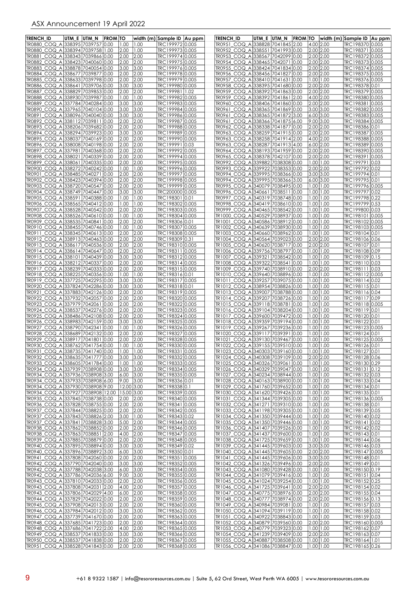| TRENCH ID                                                                   | utm e  utm n | <b>FROM TO</b> |                          |               | width (m) Sample ID   Au ppm       | <b>TRENCH ID</b>                                                     | UTM_E  UTM_N | <b>FROM TO</b> |                                | width (m) Sample ID  Au ppm        |  |
|-----------------------------------------------------------------------------|--------------|----------------|--------------------------|---------------|------------------------------------|----------------------------------------------------------------------|--------------|----------------|--------------------------------|------------------------------------|--|
| TR0880 COQ A 338395 7039757 0.00                                            |              |                | 1.00                     | 1.00          | TRC199972 0.005                    | TR0951_COQ_A 338828 7041845 2.00                                     |              |                | 4.00 2.00                      | TRC198370 0.005                    |  |
| TR0880 COQ A 338394 7039758 1.00<br>TR0881_COQ_A 338343 7039866 0.00        |              |                | 2.00<br>2.00             | 1.00<br>2.00  | TRC199973 0.005<br>TRC199974 0.005 | TR0952 COQ A 338551 7041993 0.00<br>TR0953 COQ A 338567 7042099 0.00 |              |                | 2.00 2.00<br>2.00 2.00         | TRC198371 0.005<br>TRC198372 0.005 |  |
| TR0882_COQ_A 338423 7040060 0.00                                            |              |                | 2.00                     | 2.00          | TRC199975 0.005                    | TR0954_COQ_A 338465 7042071 0.00                                     |              |                | 2.00 2.00                      | TRC198373 0.005                    |  |
| TR0883_COQ_A 338878 7040054 0.00                                            |              |                | 3.00                     | 3.00          | TRC199976 0.005                    | TR0955_COQ_A 338424 7041834 0.00                                     |              |                | 2.00 2.00                      | TRC198374 0.005                    |  |
| TR0884 COQ A 338677 7039877 0.00                                            |              |                | 2.00                     | 2.00          | TRC199978 0.005                    | TR0956_COQ_A 338456 7041827 0.00                                     |              |                | 2.00 2.00                      | TRC198375 0.005                    |  |
| TR0885_COQ_A 338633 7039798 0.00<br>TR0886 COQ A 338641 7039706 0.00        |              |                | 2.00<br>3.00             | 2.00<br>3.00  | TRC199979 0.005<br>TRC199980 0.005 | TR0957_COQ_A 338410 7041631<br>TR0958 COQ A 338395 7041680 0.00      |              | 0.00           | 1.00   1.00<br>2.00 2.00       | TRC198376 0.005<br>TRC198378 0.01  |  |
| TR0887_COQ_A 338829 7039853 0.00                                            |              |                | 2.00                     | 2.00          | TRC199981 1.02                     | TR0959_COQ_A 338392 7041863 0.00                                     |              |                | 2.00 2.00                      | TRC198379 0.005                    |  |
| TR0888_COQ_A 338930 7039987 0.00                                            |              |                | 1.00                     | 1.00          | TRC199982 0.005                    | TR0959_COQ_A 338392 7041861                                          |              | 2.00           | 4.00 2.00                      | TRC198380 0.005                    |  |
| TR0889_COQ_A 337784 7040284 0.00                                            |              |                | 3.00                     | 3.00          | TRC199983 0.005                    | TR0960 COQ A 338406 7041860 0.00                                     |              |                | 2.00 2.00                      | TRC198381 0.005                    |  |
| TR0890_COQ_A 337965 7040104 0.00<br>TR0891_COQ_A 338096 7040040 0.00        |              |                | 3.00<br>3.00             | 3.00<br>3.00  | TRC199984 0.005<br>TRC199986 0.005 | TR0961_COQ_A 338365 7041869 0.00<br>TR0961_COQ_A 338365 7041872 3.00 |              |                | 3.00 3.00<br>6.00 3.00         | TRC198382 0.005<br>TRC198383 0.005 |  |
| TR0892_COQ_A 338112 7039811 0.00                                            |              |                | 2.00                     | 2.00          | TRC199987 0.005                    | TR0961_COQ_A 338366 7041875 6.00                                     |              |                | 9.00 3.00                      | TRC198384 0.005                    |  |
| TR0893 COQ A 338206 7039682 0.00                                            |              |                | 2.00                     | 2.00          | TRC199988 0.005                    | TR0962_COQ_A 338338 7041877 0.00                                     |              |                | 2.00 2.00                      | TRC198386 0.01                     |  |
| TR0894_COQ_A 338294 7039923 0.00<br>TR0895_COQ_A 338037 7040169 0.00        |              |                | 3.00<br>2.00             | 3.00<br>2.00  | TRC199989 0.005<br>TRC199990 0.005 | TR0963_COQ_A 338259 7041915 0.00<br>TR0963_COQ_A 338258 7041914 2.00 |              |                | 2.00 2.00<br>4.00 2.00         | TRC198387 0.005<br>TRC198388 0.005 |  |
| TR0896_COQ_A 338008 7040198 0.00                                            |              |                | 2.00                     | 2.00          | TRC199991 0.03                     | TR0963_COQ_A 338287 7041913 4.00                                     |              |                | 6.00 2.00                      | TRC198389 0.005                    |  |
| TR0897_COQ_A 337981 7040368 0.00                                            |              |                | 2.00                     | 2.00          | TRC199992 0.005                    | TR0964_COQ_A 338193 7041959 0.00                                     |              |                | 2.00 2.00                      | TRC198390 0.005                    |  |
| TR0898_COQ_A 338021 7040339 0.00                                            |              |                | 2.00                     | 2.00          | TRC199994 0.005                    | TR0965_COQ_A 338378 7042107 0.00                                     |              |                | 2.00 2.00                      | TRC198391 0.005                    |  |
| TR0899_COQ_A 338061 7040335 0.00<br>TR0900_COQ_A 338272 7040242 0.00        |              |                | 2.00<br>1.00             | 2.00<br>1.00  | TRC199995 0.005<br>TRC199996 0.005 | TR0992_COQ_A 339882 7038308 0.00<br>TR0993_COQ_A 339922 7038353 0.00 |              |                | 1.00   1.00<br>2.00 2.00       | TRC199791 0.03<br>TRC199792 0.02   |  |
| TR0901_COQ_A 338485 7040271 0.00                                            |              |                | 2.00                     | 2.00          | TRC199997 0.005                    | TR0994_COQ_A 339995 7038366 0.00                                     |              |                | 3.00 3.00                      | TRC199794 0.01                     |  |
| TR0902_COQ_A 338423 7040394 0.00                                            |              |                | 2.00                     | 2.00          | TRC199998 0.005                    | TR0994_COQ_A 339995 7038366 3.00                                     |              |                | 6.00 3.00                      | TRC199795 0.01                     |  |
| TR0903_COQ_A 338720 7040547 0.00                                            |              |                | 2.00                     | 2.00          | TRC199999 0.005                    | TR0995_COQ_A 340079 7038495 0.00                                     |              |                | $1.00$   1.00                  | TRC199796 0.005                    |  |
| TR0904_COQ_A 338749 7040447 0.00<br>TR0905_COQ_A 338591 7040388 0.00        |              |                | 3.00<br> 1.00            | 3.00<br>1.00  | TRC200000 0.005<br>TRC198301 0.01  | TR0996_COQ_A 340661 7038511<br>TR0997_COQ_A 340319 7038748 0.00      |              | 0.00           | 00.1 00.1<br>$1.00$   1.00     | TRC199797 0.02<br>TRC199798 0.22   |  |
| TR0906_COQ_A 338565 7040412 0.00                                            |              |                | 1.00                     | 1.00          | TRC198302 0.005                    | TR0998_COQ_A 340419 7038610 0.00                                     |              |                | 1.00   1.00                    | TRC199799 0.53                     |  |
| TR0907_COQ_A 338528 7040542 0.00                                            |              |                | 2.00                     | 2.00          | TRC198303 0.005                    | TR0999_COQ_A 340465 7038542 0.00                                     |              |                | 00.1 00.1                      | TRC199800 0.03                     |  |
| TR0908_COQ_A 338526 7040610 0.00<br>TR0909_COQ_A 338535 7040841 0.00        |              |                | 1.00<br>2.00             | 1.00<br>2.00  | TRC198304 0.005<br>TRC198306 0.01  | TR1000 COQ A 340529 7038937 0.00<br>TR1001_COQ_A 340586 7038912 0.00 |              |                | $1.00$   1.00<br>00.1 00.1     | TRC198102 0.005                    |  |
| TR0910_COQ_A 338455 7040746 0.00                                            |              |                | 1.00                     | 1.00          | TRC198307 0.005                    | TR1002_COQ_A 340639 7038930 0.00                                     |              |                | $1.00$   1.00                  | TRC198103 0.005                    |  |
| TR0911_COQ_A 338345 7040613 0.00                                            |              |                | 2.00                     | 2.00          | TRC198308 0.005                    | TR1003 COQ A 340660 7038962 0.00                                     |              |                | 1.00   1.00                    | TRC198104 0.01                     |  |
| TR0912_COQ_A 338913 7040463 0.00                                            |              |                | 2.00                     | 2.00          | TRC198309 0.31                     | TR1004_COQ_A 340564 7039023 0.00                                     |              |                | 2.00 2.00                      | TRC198106 0.06                     |  |
| TR0913 COQ A 338617 7040536 0.00<br>TR0914_COQ_A 338614 7040647 0.00        |              |                | 2.00<br>2.00             | 2.00<br>2.00  | TRC198310 0.005<br>TRC198311 0.005 | TR1005_COQ_A 340620 7038717 0.00<br>TR1006_COQ_A 339756 7038797 0.00 |              |                | 2.00 2.00<br>00.1   00.1       | TRC198107 0.01<br>TRC198108 0.09   |  |
| TR0915_COQ_A 338101 7040439 0.00                                            |              |                | 3.00                     | 3.00          | TRC198312 0.005                    | TR1007_COQ_A 339321 7038542 0.00                                     |              |                | $1.00$   1.00                  | TRC198109 0.15                     |  |
| TR0916_COQ_A 338212 7040337 0.00                                            |              |                | 2.00                     | 2.00          | TRC198314 0.005                    | TR1008_COQ_A 339322 7038541 0.00                                     |              |                | $0.00$   1.00                  | TRC198110 0.03                     |  |
| TR0917_COQ_A 338239 7040333 0.00<br>TR0918_COQ_A 338225 7040356 0.00        |              |                | 2.00<br> 1.00            | 2.00<br>1.00  | TRC198315 0.005<br>TRC198316 0.01  | TR1009_COQ_A 339740 7038910 0.00<br>TR1010 COQ A 339640 7038896 0.00 |              |                | 2.00 2.00<br>00.1   00.1       | TRC198111 0.03<br>TRC198112 0.005  |  |
| TR0919_COQ_A 337725 7042295 0.00                                            |              |                | 3.00                     | 3.00          | TRC198317 0.005                    | TR1011_COQ_A 339257 7039075 0.00                                     |              |                | $1.00$   1.00                  | TRC198114 0.02                     |  |
| TR0920_COQ_A 337824 7042286 0.00                                            |              |                | 3.00                     | 3.00          | TRC198318 0.01                     | TR1012_COQ_A 338954 7038826 0.00                                     |              |                | 1.00   1.00                    | TRC198115 0.01                     |  |
| TR0921_COQ_A 337883 7042126 0.00<br>TR0922_COQ_A 337932 7042057 0.00        |              |                | 2.00<br>2.00             | 2.00<br>2.00  | TRC198319 0.005<br>TRC198320 0.005 | TR1013_COQ_A 339007 7038788 0.00<br>TR1014_COQ_A 339207 7038726 0.00 |              |                | 00.1   00.1<br>$0.00$   1.00   | TRC198116 0.04<br>TRC198117 0.09   |  |
| TR0923_COQ_A 337979 7042061 0.00                                            |              |                | 2.00                     | 2.00          | TRC198322 0.005                    | TR1015_COQ_A 339118 7038781                                          |              | 0.00           | 00.1 00.1                      | TRC198118 0.005                    |  |
| TR0924_COQ_A 338537 7042276 0.00                                            |              |                | 2.00                     | 2.00          | TRC198323 0.005                    | TR1016_COQ_A 339104 7038204                                          |              | 0.00           | $1.00$   1.00                  | TRC198119 0.01                     |  |
| TR0925_COQ_A 338486 7042108 0.00<br>TR0926_COQ_A 338983 7042159 0.00        |              |                | 2.00<br>3.00             | 2.00<br>3.00  | TRC198324 0.005<br>TRC198325 0.005 | TR1017 COQ A 339600 7039472<br>TR1018 COQ A 339359 7039194 0.00      |              | 0.00           | 1.00   1.00<br>$0.00$   1.00   | TRC198120 0.01<br>TRC198122 0.01   |  |
| TR0927 COQ A 338790 7042341 0.00                                            |              |                | 1.00                     | 1.00          | TRC198326 0.005                    | TR1019_COQ_A 339267 7039236 0.00                                     |              |                | 00.11.00                       | TRC198123 0.005                    |  |
| TR0928_COQ_A 338689 7042132 0.00                                            |              |                | 2.00                     | 2.00          | TRC198327 0.005                    | TR1020_COQ_A 339117 7039391                                          |              | 10.00          | 00.1 00.1                      | TRC198124  0.01                    |  |
| TR0929_COQ_A 338917 7041801 0.00<br>TR0930_COQ_A 338762 7041754 0.00        |              |                | 2.00<br>1.00             | 2.00<br> 1.00 | TRC198328 0.005<br>TRC198330 0.005 | TR1021_COQ_A 339130 7039467 0.00<br>TR1022_COQ_A 339155 7039510 0.00 |              |                | 1.00 1.00<br>$1.00$   1.00     | TRC198125 0.005<br>TRC198126 0.01  |  |
| TR0931_COQ_A 338735 7041740 0.00_                                           |              |                | $ 1.00 $ $ 1.00 $        |               | IRC198331  0.005                   | TR1023_COQ_A13403031703916010.00                                     |              | 1.00 1.00      |                                | TRC19812710.01                     |  |
| TR0932_COQ_A 338635 7041777 0.00                                            |              |                | 3.00 3.00                |               | TRC198332 0.005                    | TR1024_COQ_A 340308 7039109 0.00                                     |              |                | 2.00 2.00                      | TRC198128 0.06                     |  |
| TR0933_COQ_A 338605 7041784 0.00<br>TR0934_COQ_A 337939 7038908 0.00        |              |                | 1.00 <br>3.00            | 1.00<br>3.00  | TRC198333 0.005<br>TRC198334 0.005 | TR1025_COQ_A 340326 7039061 0.00<br>TR1026_COQ_A 340329 7039047 0.00 |              |                | $1.00$   1.00<br>$1.00$   1.00 | TRC198130 0.29<br>TRC198131 0.12   |  |
| TR0934_COQ_A 337936 7038908 3.00                                            |              |                | 6.00                     | 3.00          | TRC198335 0.005                    | TR1027_COQ_A 340234 7038944 0.00                                     |              |                | $0.00$   1.00                  | TRC198132 0.03                     |  |
| TR0934_COQ_A 337933 7038908 6.00                                            |              |                | 9.00 3.00                |               | TRC198336 0.01                     | TR1028_COQ_A 340163 7038900 0.00                                     |              |                | $1.00$   1.00                  | TRC198133 0.04                     |  |
| TR0934 COQ A 337930 7038908 9.00<br>TR0934_COQ_A 337927 7038908 12.00       |              |                | 12.00 3.00<br>15.00 3.00 |               | TRC198338 0.1<br>TRC198339 0.005   | TR1029_COQ_A 341760 7039652 0.00<br>TR1030_COQ_A 341620 7039426 0.00 |              |                | $0.00$   1.00<br>$1.00$  1.00  | TRC198134 0.01<br>TRC198135 0.01   |  |
| TR0935_COQ_A 337845 7038738 0.00                                            |              |                | 2.00                     | 2.00          | TRC198340 0.005                    | TR1031_COQ_A 341344 7039305 0.00                                     |              |                | $1.00$   1.00                  | TRC198136 0.005                    |  |
| TR0936_COQ_A 337828 7038755 0.00                                            |              |                | 2.00                     | 2.00          | TRC198341 0.005                    | TR1032_COQ_A 341271 7039310 0.00                                     |              |                | $0.00$   1.00                  | TRC198138 0.01                     |  |
| TR0937_COQ_A 337844 7038825 0.00<br>TR0937_COQ_A 337843 7038826 2.00        |              |                | 2.00<br>3.00             | 2.00<br> 1.00 | TRC198342 0.005<br>TRC198343 0.02  | TR1033_COQ_A 341198 7039305 0.00<br>TR1034_COQ_A 341350 7039444 0.00 |              |                | $1.00$   1.00<br>$1.00$   1.00 | TRC198139 0.05<br>TRC198140 0.02   |  |
| <u>TR0937_COQ_A 337841 7038828 3.00</u>                                     |              |                | 5.00                     | 2.00          | TRC198344 0.005                    | TR1035_COQ_A 341350 7039446 0.00                                     |              |                | $1.00$   1.00                  | TRC198141 0.02                     |  |
| TR0938_COQ_A 337862 7038852 0.00                                            |              |                | 2.00                     | 2.00          | TRC198346 0.005                    | TR1036_COQ_A 341407 7039526 0.00                                     |              |                | $1.00$   1.00                  | TRC198142 0.02                     |  |
| TR0938_COQ_A 337863 7038851 2.00<br>TR0939_COQ_A 337885 7038879 0.00        |              |                | 4.00<br>2.00             | 2.00<br> 2.00 | TRC198347 0.005<br>TRC198348 0.005 | TR1037_COQ_A 341437 7039600 0.00<br>TR1038 COQ A 341725 7039659 0.00 |              |                | $1.00$   1.00<br>$1.00$   1.00 | TRC198143 0.01<br>TRC198144 0.06   |  |
| TR0940_COQ_A 337895 7038894 0.00                                            |              |                | 3.00                     | 3.00          | TRC198349 0.02                     | TR1039_COQ_A 341445 7039603 0.00                                     |              |                | 3.00 3.00                      | TRC198146 0.03                     |  |
| <u>TR0940_COQ_A 337896 7038892 3.00</u>                                     |              |                | 6.00                     | 3.00          | TRC198350 0.01                     | TR1040_COQ_A 341445 7039605 0.00                                     |              |                | 2.00 2.00                      | TRC198147 0.005                    |  |
| TR0941_COQ_A 337808 7042060 0.00<br>TR0942_COQ_A 337790 7042040 0.00        |              |                | 2.00<br>3.00             | 2.00<br> 3.00 | TRC198351 0.005<br>TRC198352 0.005 | TR1041_COQ_A 341445 7039606 0.00<br>TR1042_COQ_A 341326 7039496 0.00 |              |                | 3.00 3.00<br>2.00 2.00         | TRC198148 0.01<br>TRC198149 0.01   |  |
| TR0942_COQ_A 337788 7042038 3.00                                            |              |                | 6.00                     | 3.00          | TRC198354 0.005                    | TR1043_COQ_A 341080 7039428 0.00                                     |              |                | $1.00$   1.00                  | TRC198150 0.19                     |  |
| TR0942_COQ_A 337786 7042036 6.00                                            |              |                | 9.00                     | 3.00          | TRC198355 0.005                    | TR1044_COQ_A 341079 7039416 0.00                                     |              |                | $1.00$   1.00                  | TRC198151 0.04                     |  |
| TR0943_COQ_A 337810 7042033 0.00                                            |              |                | 2.00                     | 2.00          | TRC198356 0.005                    | TR1045_COQ_A 341024 7039254 0.00<br>TR1046_COQ_A 341725 7039641 0.00 |              |                | $1.00$   1.00                  | TRC198152 0.25<br>TRC198154 0.02   |  |
| <u>TR0943_COQ_A 337808 7042031 2.00</u><br>TR0943_COQ_A 337806 7042029 4.00 |              |                | 4.00<br>6.00             | 2.00<br> 2.00 | TRC198357 0.005<br>TRC198358 0.005 | TR1047_COQ_A 340775 7038976 0.00                                     |              |                | 2.00 2.00<br>2.00 2.00         | TRC198155 0.04                     |  |
| TR0944_COQ_A 337829 7042022 0.00                                            |              |                | 2.00                     | 2.00          | TRC198359 0.005                    | TR1048_COQ_A 340777 7038974 0.00                                     |              |                | 2.00 2.00                      | TRC198156 0.13                     |  |
| <u>TR0945_COQ_A 337908 7042013 0.00</u>                                     |              |                | 2.00<br>3.00             | 2.00          | TRC198360 0.005                    | TR1049_COQ_A 340984 7039081 0.00<br>TR1050_COQ_A 341094 7039119 0.00 |              |                | $1.00$   1.00<br>$1.00$   1.00 | TRC198157 0.03                     |  |
| TR0946_COQ_A 337984 7042012 0.00<br>TR0947_COQ_A 337739 7041670 0.00        |              |                | 2.00                     | 3.00<br>2.00  | TRC198362 0.005<br>TRC198363 0.005 | TR1051_COQ_A 340922 7038843 0.00                                     |              |                | $1.00$   1.00                  | TRC198158 0.02<br>TRC198159 0.03   |  |
| TR0948_COQ_A 337685 7041723 0.00                                            |              |                | 2.00                     | 2.00          | TRC198364 0.005                    | TR1052_COQ_A 340879 7039560 0.00                                     |              |                | 2.00 2.00                      | TRC198160 0.005                    |  |
| TR0948_COQ_A 337686 7041722 2.00<br>TR0949_COQ_A 338537 7041833 0.00        |              |                | 4.00<br>3.00             | 2.00<br>3.00  | TRC198365 0.005<br>TRC198366 0.005 | TR1053_COQ_A 340779 7039323 0.00<br>TR1054_COQ_A 341239 7039409 0.00 |              |                | $1.00$   1.00<br>2.00 2.00     | TRC198162 0.07<br>TRC198163 0.07   |  |
| TR0950_COQ_A 338537 7041838 0.00                                            |              |                | 2.00                     | 2.00          | TRC198367 0.005                    | TR1055_COQ_A 340887 7038508 0.00                                     |              |                | $1.00$   1.00                  | TRC198164 1.01                     |  |
| TR0951 COQ A 338528 7041843 0.00                                            |              |                | 2.00 2.00                |               | TRC198368 0.005                    | TR1056 COQ A 341086 7038847 0.00                                     |              |                | 1.00 1.00                      | TRC198165 0.26                     |  |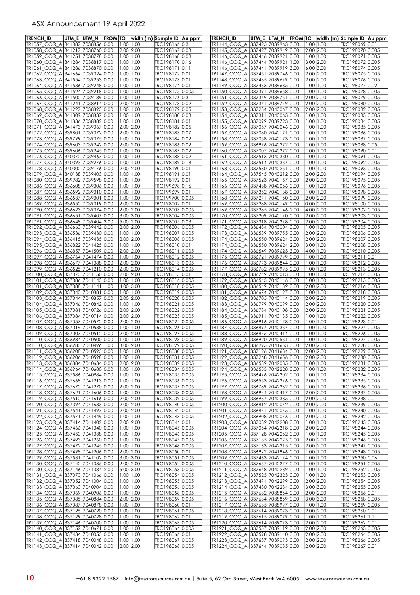| <b>TRENCH ID</b>                                                     | UTM E UTM N | <b>FROM TO</b> |                                |                            | width (m) Sample ID   Au ppm       | <b>TRENCH ID</b>                                                           | UTM E  UTM N  FROM TO |                                | width (m) Sample ID  Au ppm        |  |
|----------------------------------------------------------------------|-------------|----------------|--------------------------------|----------------------------|------------------------------------|----------------------------------------------------------------------------|-----------------------|--------------------------------|------------------------------------|--|
| TR1057 COQ A 341087 7038856 0.00                                     |             |                | $1.00$   1.00                  |                            | TRC198166 0.3                      | TR1144 COQ A 337425 7039963 0.00                                           |                       | $1.00$   1.00                  | TRC198069 0.01                     |  |
| TR1058_COQ_A 341217 7038760 0.00                                     |             |                | 2.00 2.00                      |                            | TRC198167 0.03                     | TR1145 COQ A 337427 7039949 0.00                                           |                       | 2.00 2.00                      | TRC198070 0.005                    |  |
| TR1059 COQ A 341251 7038778 0.00                                     |             |                | $1.00$   1.00                  |                            | TRC198168 0.08                     | TR1146 COQ A 337446 7039921 0.00                                           |                       | 1.00 1.00                      | TRC198071 0.005                    |  |
| TR1060_COQ_A 341284 7038817 0.00                                     |             |                | $1.00$  1.00                   |                            | TRC198170 0.16                     | TR1146_COQ_A  337444 7039921 1.00                                          |                       | 3.00 2.00                      | TRC198072 0.005                    |  |
| TR1061_COQ_A 341286 7038870 0.00<br>TR1062_COQ_A 341664 7039324 0.00 |             |                | $1.00$   1.00<br>$1.00$   1.00 |                            | TRC198171 0.11<br>TRC198172 0.01   | TR1146 COQ A 337441 7039919 3.00<br>TR1147 COQ A 337451 7039746 0.00       |                       | 6.00 3.00<br>2.00 2.00         | TRC198074 0.005<br>TRC19807510.005 |  |
| TR1063_COQ_A 341554 7039253 0.00                                     |             |                | 1.00 1.00                      |                            | TRC198173 0.01                     | TR1148_COQ_A  337435 7039699 0.00                                          |                       | 2.00 2.00                      | TRC198076 0.005                    |  |
| TR1064 COQ A 341536 7039248 0.00                                     |             |                | $1.00$   1.00                  |                            | TRC198174 0.01                     | TR1149 COQ A 337433 7039685 0.00                                           |                       | $1.00$   1.00                  | TRC198077 0.02                     |  |
| TR1065_COQ_A 341524 7039218 0.00                                     |             |                | $1.00$   1.00                  |                            | TRC198175 0.005                    | TR1150_COQ_A  337391  7039658  0.00                                        |                       | $1.00$   1.00                  | TRC198078 0.005                    |  |
| TR1066_COQ_A 341500 7039189 0.00                                     |             |                | 1.00 1.00                      |                            | TRC198176 0.3                      | TR1151_COQ_A  337349  7039751  0.00                                        |                       | 2.00 2.00                      | TRC198079 0.005                    |  |
| TR1067_COQ_A 341241 7038914 0.00                                     |             |                | 2.00 2.00                      |                            | TRC198178 0.02                     | TR1152 COQ A 337341 7039779 0.00                                           |                       | 2.00 2.00                      | TRC198080 0.005                    |  |
| TR1068_COQ_A 341227 7038893 0.00<br>TR1069 COQ A 341309 7038837 0.00 |             |                | $1.00$ 1.00<br>1.00   1.00     |                            | TRC198179 0.05<br>TRC198180 0.03   | TR1153_COQ_A  337234  7040067  0.00<br>TR1154_COQ_A  337311  7040063  0.00 |                       | 2.00 2.00<br>$1.00$   1.00     | TRC198082 0.005<br>TRC198083 0.005 |  |
| TR1070_COQ_A 341336 7038882 0.00                                     |             |                | $1.00$   1.00                  |                            | TRC198181 0.01                     | TR1155_COQ_A  337099  7039723  0.00                                        |                       | $1.00$   1.00                  | TRC198084 0.005                    |  |
| TR1071_COQ_A 341473 7039067 0.00                                     |             |                | 2.00 2.00                      |                            | TRC198182 0.05                     | TR1156 COQ A 337057 7040046 0.00                                           |                       | $1.00$   1.00                  | TRC198085 0.005                    |  |
| TR1072_COQ_A 339801 7039372 0.00                                     |             |                | 2.00 2.00                      |                            | TRC198183 0.07                     | TR1157_COQ_A  337080 7040171 0.00                                          |                       | 00.11.00                       | TRC198086 0.005                    |  |
| TR1073_COQ_A 339799 7039375 0.00                                     |             |                | $1.00$ 1.00                    |                            | TRC198184 0.02                     | TR1158_COQ_A  337058  7040173  0.00                                        |                       | $1.00$   1.00                  | TRC198087 0.005                    |  |
| TR1074_COQ_A 339603 7039242 0.00<br>TR1075_COQ_A 339606 7039245 0.00 |             |                | 2.00 2.00<br>$1.00$ 1.00       |                            | TRC198186 0.02<br>TRC198187 0.02   | TR1159_COQ_A  336976  7040272  0.00<br>TR1160_COQ_A  337007  7040372  0.00 |                       | 00.1 00.1<br>$1.00$   1.00     | TRC198088 0.05<br>TRC198090 0.01   |  |
| TR1076_COQ_A 340372 7039467 0.00                                     |             |                | $1.00$   1.00                  |                            | TRC198188 0.02                     | TR1161_COQ_A  337513 7040330 0.00                                          |                       | $1.00$   1.00                  | TRC198091 0.005                    |  |
| TR1077_COQ_A 340393 7039276 0.00                                     |             |                | $1.00$   1.00                  |                            | TRC198189 0.18                     | TR1162_COQ_A  337514 7040337 0.00                                          |                       | 1.00   1.00                    | TRC198092 0.005                    |  |
| TR1078_COQ_A 340302 7039176 0.00                                     |             |                | 2.00 2.00                      |                            | TRC198190 0.01                     | TR1163 COQ A 337580 7040251 0.00                                           |                       | $1.00$   1.00                  | TRC198093 0.005                    |  |
| TR1079_COQ_A 340138 7039403 0.00                                     |             |                | 1.00   1.00                    |                            | TRC198191 0.01                     | TR1164 COQ A 337545 7040212 0.00                                           |                       | 2.00 2.00                      | TRC198094 0.005                    |  |
| TR1080_COQ_A 339982 7039598 0.00<br>TR1086_COQ_A 336608 7039306 0.00 |             |                | 1.00 1.00<br>$1.00$   1.00     |                            | TRC198192 0.01<br>TRC199698 0.16   | TR1165_COQ_A 337523 7040157 0.00<br>TR1166_COQ_A  337438  7040066  0.00    |                       | 2.00 2.00<br>$1.00$   1.00     | TRC19809510.005<br>TRC198096 0.005 |  |
| TR1087_COQ_A 336592 7039310 0.00                                     |             |                | $1.00$   1.00                  |                            | TRC199699 0.01                     | TR1167 COQ A 337352 7040138 0.00                                           |                       | 1.00 1.00                      | TRC198098 0.005                    |  |
| TR1088 COQ A 336537 7039301 0.00                                     |             |                | 1.00 1.00                      |                            | TRC199700 0.005                    | TR1168 COQ A  337271  7040160  0.00                                        |                       | 2.00 2.00                      | TRC198099 0.005                    |  |
| TR1089 COQ A 336550 7039319 0.00                                     |             |                | 2.00 2.00                      |                            | TRC198002 0.01                     | TR1169_COQ_A 337288 7040149 0.00                                           |                       | 0.00 0.00                      | TRC198100 0.005                    |  |
| TR1090 COQ A 336623 7039374 0.00                                     |             |                | 2.00 2.00                      |                            | TRC198003 0.005                    | TR1169 COQ A 337285 7040146 2.00                                           |                       | 4.00 2.00                      | TRC198202 0.005                    |  |
| TR1091 COQ A 336651 7039407 0.00<br>TR1091_COQ_A 336648 7039404 3.00 |             |                | 3.00 3.00<br>5.00 2.00         |                            | TRC198004 0.005<br>TRC198005 0.03  | TR1170_COQ_A  337209  7040190  0.00<br>TR1171 COQ A 337318 7040398 0.00    |                       | 2.00 2.00<br>2.00 2.00         | TRC198203 0.005<br>TRC198204 0.005 |  |
| TR1092_COQ_A 336660 7039442 0.00                                     |             |                | 2.00 2.00                      |                            | TRC198006 0.005                    | TR1172 COQ A 336484 7040004 0.00                                           |                       | $1.00$   1.00                  | TRC198205 0.005                    |  |
| TR1093_COQ_A 336536 7039430 0.00                                     |             |                | 1.00 1.00                      |                            | TRC198007 0.005                    | TR1173_COQ_A  336589  7039755  0.00                                        |                       | 2.00 2.00                      | TRC198206 0.005                    |  |
| TR1094_COQ_A 336415 7039435 0.00                                     |             |                | 2.00 2.00                      |                            | TRC198008 0.005                    | TR1174_COQ_A  336550 7039624 0.00                                          |                       | 2.00 2.00                      | TRC198207 0.005                    |  |
| TR1095_COQ_A 336822 7041425 0.00                                     |             |                | 1.00 1.00                      |                            | TRC198010 0.01                     | TR1174 COQ A 336550 7039624 2.00                                           |                       | 3.00 1.00                      | TRC198208 0.005                    |  |
| TR1096 COQ A 336857 7041509 0.00<br>TR1097_COQ_A 336764 7041474 0.00 |             |                | 2.00 2.00<br>1.00 1.00         |                            | TRC198011 0.005<br>TRC198012 0.005 | TR1174 COQ A 336549 7039623 3.00<br>TR1175_COQ_A  336721  7039799  0.00    |                       | 4.00 1.00<br>$1.00$   1.00     | TRC198210 0.005<br>TRC198211 0.01  |  |
| TR1098_COQ_A 336677 7041388 0.00                                     |             |                | 2.00 2.00                      |                            | TRC198013 0.005                    | TR1176_COQ_A  336773 7039844 0.00                                          |                       | $1.00$   1.00                  | TRC198212 0.005                    |  |
| TR1099_COQ_A 336525 7041210 0.00                                     |             |                | 2.00 2.00                      |                            | TRC198014 0.005                    | TR1177 COQ A 336782 7039995 0.00                                           |                       | $1.00$   1.00                  | TRC198213 0.005                    |  |
| TR1100_COQ_A 337070 7041150 0.00                                     |             |                | 2.00 2.00                      |                            | TRC198015 0.01                     | TR1178_COQ_A  336749  7040013  0.00                                        |                       | $1.00$   1.00                  | TRC198214 0.005                    |  |
| TR1101_COQ_A 337086 7041143 0.00                                     |             |                | $1.00$   1.00                  |                            | TRC198016 0.005                    | TR1179_COQ_A  336543 7040146 0.00                                          |                       | 1.00   1.00                    | TRC198215 0.005                    |  |
| TR1101_COQ_A 337088 7041141 1.00<br>TR1102_COQ_A 337040 7040881 0.00 |             |                | 4.00 3.00<br>$1.00$ 1.00       |                            | TRC198018 0.005<br>TRC198019 0.005 | TR1180_COQ_A  336549  7040132  0.00<br>TR1181_COQ_A  336674  7040127  0.00 |                       | 2.00 2.00<br>$1.00$   1.00     | TRC198216 0.005<br>TRC198218 0.005 |  |
| TR1103_COQ_A 337044 7040857 0.00                                     |             |                | 2.00 2.00                      |                            | TRC198020 0.005                    | TR1182_COQ_A  336705 7040144 0.00                                          |                       | $2.00$ 2.00                    | TRC198219 0.005                    |  |
| TR1104_COQ_A 337046 7040842 0.00                                     |             |                | 1.00 1.00                      |                            | TRC198021 0.005                    | TR1183_COQ_A  336779  7040099  0.00                                        |                       | 2.00 2.00                      | TRC198220 0.005                    |  |
| TR1105 COQ A 337081 7040726 0.00                                     |             |                | 2.00 2.00                      |                            | TRC19802210.005                    | TR1184_COQ_A  336784  7040108  0.00                                        |                       | 2.00 2.00                      | TRC198221 0.005                    |  |
| TR1106_COQ_A 337084 7040714 0.00                                     |             |                | 2.00 2.00                      |                            | TRC198023 0.005                    |                                                                            |                       | $1.00$   1.00                  | TRC198222 0.005                    |  |
| TR1107_COQ_A 337057 7040572 0.00<br>TR1108_COQ_A 337019 7040538 0.00 |             |                | 2.00 2.00<br>$1.00$  1.00      |                            | TRC198024 0.005<br>TRC198026 0.01  | TR1186_COQ_A  336916 7040178 0.00<br>TR1187 COQ A 336897 7040337 0.00      |                       | $1.00$   1.00<br>$1.00$   1.00 | TRC198223 0.01<br>TRC198224 0.005  |  |
| TR1109 COQ A 337007 7040512 0.00                                     |             |                | 2.00 2.00                      |                            | TRC198027 0.005                    | TR1188 COQ A 336875 7040414 0.00                                           |                       | 1.00 1.00                      | TRC198226 0.005                    |  |
| TR1110_COQ_A 336984 7040500 0.00                                     |             |                | $1.00$   1.00                  |                            | TRC198028 0.005                    | TR1189_COQ_A  336920 7040531 0.00                                          |                       | 1.00   1.00                    | TRC198227 0.005                    |  |
| TR1110_COQ_A 336983 7040496 1.00                                     |             |                | 3.00 2.00                      |                            | TRC198029 0.005                    | TR1190 COQ A 336995 7041653 0.00                                           |                       | 2.00 2.00                      | TRC198228 0.005                    |  |
| TR1111_COQ_A 336908 7040595 0.00                                     |             |                | 1.00 1.00                      |                            | TRC198030 0.005                    | TR1191_COQ_A  337126 7041634 0.00                                          |                       | 2.00 2.00                      | TRC198229 0.005                    |  |
| TR1112 COQ A 336906 7040598 0.00<br>TR1113_COQ_A 336884 7040634 0.00 |             |                |                                | $1.00$   1.00<br>2.00 2.00 | TRC198031 0.005<br>TRC198032 0.005 | TR1192 COQ A 337268 7041656 0.00<br>TR1193_COQ_A 336539 7042085 0.00       |                       | 2.00 2.00<br>$1.00$  1.00      | TRC198230 0.005<br>TRC198231 0.005 |  |
| TR1114_COQ_A 336964 7040680 0.00                                     |             |                | 1.00 1.00                      |                            | TRC198034 0.005                    | TR1194_COQ_A 336553 7042228 0.00                                           |                       | 1.00 1.00                      | TRC198232 0.005                    |  |
| TR1115_COQ_A 337586 7040984 0.00                                     |             |                | $1.00$   1.00                  |                            | TRC198035 0.005                    | TR1195_COQ_A 336496 7042302 0.00                                           |                       | 1.0011.00                      | TRC198234 0.005                    |  |
| TR1116_COQ_A 337668 7041213 0.00                                     |             |                | 1.00 1.00                      |                            | TRC198036 0.005                    | TR1196_COQ_A 336553 7042396 0.00                                           |                       | 2.00 2.00                      | TRC198235 0.005                    |  |
| TR1117_COQ_A 337670 7041270 0.00                                     |             |                | 2.00 2.00                      |                            | TRC198037 0.005                    | TR1197 COQ A 336789 7042362 0.00                                           |                       | $1.00$ $1.00$                  | TRC198236 0.005                    |  |
| TR1118_COQ_A 337621 7041606 0.00<br>TR1119_COQ_A 337510 7041616 0.00 |             |                | 1.00 1.00<br>2.00 2.00         |                            | TRC198038 0.005<br>TRC198039 0.005 | TR1198_COQ_A 336944 7042417 0.00<br>TR1199_COQ_A 336937 7042385 0.00       |                       | 2.00 2.00<br>2.00 2.00         | TRC198237 0.005<br>TRC198238 0.01  |  |
| TR1120_COQ_A 337394 7041633 0.00                                     |             |                | 2.00 2.00                      |                            | TRC198040 0.005                    | TR1200 COQ A 336812 7042042 0.00                                           |                       | 2.00 2.00                      | TRC198239 0.005                    |  |
| TR1121_COQ_A 337541 7041497 0.00                                     |             |                | 2.00 2.00                      |                            | TRC198042 0.01                     | TR1201 COQ A 336871 7042045 0.00                                           |                       | $1.00$  1.00                   | TRC198240 0.005                    |  |
| TR1122 COQ A 337571 7041449 0.00                                     |             |                | 1.00 1.00                      |                            | TRC198043 0.005                    | TR1202_COQ_A 336908 7042046 0.00                                           |                       | 2.00 2.00                      | TRC198242 0.005                    |  |
| TR1123_COQ_A 337414 7041402 0.00                                     |             |                | 2.00 2.00                      |                            | TRC198044 0.01                     | TR1203_COQ_A 337032 7042208 0.00                                           |                       | $1.00$   1.00                  | TRC198243 0.005                    |  |
| TR1124_COQ_A 337466 7041340 0.00<br>TR1125_COQ_A 337450 7041338 0.00 |             |                | 1.00 1.00<br> 1.00 1.00        |                            | TRC198045 0.005<br>TRC198046 0.005 | TR1204_COQ_A 337054 7042318 0.00<br>TR1205_COQ_A 337128 7042262 0.00       |                       | 2.00 2.00<br>$1.00$   1.00     | TRC198244 0.005<br>TRC198245 0.005 |  |
| TR1126_COQ_A 337493 7041260 0.00                                     |             |                | 1.00 1.00                      |                            | TRC198047 0.005                    | TR1206 COQ A 337135 7042275 0.00                                           |                       | 2.00 2.00                      | TRC198246 0.005                    |  |
| TR1127 COQ A 337472 7041245 0.00                                     |             |                | $1.00$ $1.00$                  |                            | TRC198048 0.005                    | TR1207 COQ A 337163 7042215 0.00                                           |                       | 2.00 2.00                      | TRC198247 0.005                    |  |
| TR1128_COQ_A 337498 7041206 0.00                                     |             |                | 2.00 2.00                      |                            | TRC198050 0.01                     | TR1208_COQ_A 336922 7041946 0.00                                           |                       | $1.00$  1.00                   | TRC198248 0.005                    |  |
| TR1129_COQ_A 337531 7041102 0.00<br>TR1130_COQ_A 337142 7041085 0.00 |             |                | 3.00 3.00<br>2.00 2.00         |                            | TRC198051 0.005<br>TRC198052 0.005 | TR1209_COQ_A 337463 7042194 0.00<br>TR1210_COQ_A 337657 7042277 0.00       |                       | $1.00$   1.00<br>$1.00$   1.00 | TRC198250 0.06<br>TRC198251 0.005  |  |
| TR1130_COQ_A 337146 7041084 2.00                                     |             |                | 5.00 3.00                      |                            | TRC198053 0.005                    | TR1211_COQ_A 337648 7042289 0.00                                           |                       | $1.00$   1.00                  | TRC198252 0.005                    |  |
| TR1131_COQ_A 337070 7041066 0.00                                     |             |                | $1.00$   1.00                  |                            | TRC198054 0.005                    | TR1212_COQ_A 337525 7042323 0.00                                           |                       | $1.00$   1.00                  | TRC198253 0.005                    |  |
| TR1132_COQ_A 337052 7041004 0.00                                     |             |                | 1.00 1.00                      |                            | TRC198055 0.005                    | TR1213_COQ_A 337491 7042299 0.00                                           |                       | 2.00 2.00                      | TRC198254 0.005                    |  |
| TR1133_COQ_A 337060 7040904 0.00                                     |             |                | $1.00$ $1.00$                  |                            | TRC198056 0.005                    | TR1214_COQ_A 337480 7042284 0.00                                           |                       | 3.00 3.00                      | TRC198255 0.005                    |  |
| TR1134_COQ_A 337069 7040906 0.00<br>TR1135_COQ_A 337085 7040884 0.00 |             |                | 2.00 2.00                      | $1.00$   1.00              | TRC198058 0.005<br>TRC198059 0.005 | TR1215_COQ_A 337632 7038864 0.00<br>TR1216_COQ_A 337634 7038869 0.00       |                       | 2.00 2.00<br>3.00 3.00         | TRC198256 0.01<br>TRC198258 0.005  |  |
| TR1136_COQ_A 337087 7040878 0.00                                     |             |                | 1.00 1.00                      |                            | TRC198060 0.01                     | TR1217_COQ_A 337635 7038997 0.00                                           |                       | $1.00$   1.00                  | TRC198259 0.005                    |  |
| TR1137_COQ_A 337125 7040720 0.00                                     |             |                | 1.00 1.00                      |                            | TRC198061 0.005                    | TR1218_COQ_A 337614 7039073 0.00                                           |                       | 2.00 2.00                      | TRC198260 0.01                     |  |
| TR1138_COQ_A 337129 7040728 0.00                                     |             |                | 1.00 1.00                      |                            | TRC198062 0.01                     | TR1219_COQ_A 337615 7039079 0.00                                           |                       | $1.00$  1.00                   | TRC198261 1.1                      |  |
| TR1139_COQ_A 337146 7040700 0.00                                     |             |                |                                | 1.00 1.00                  | TRC198063 0.005                    | TR1220_COQ_A 337614 7039093 0.00                                           |                       | 2.00 2.00                      | TRC198262 0.01                     |  |
| TR1140 COQ A 337152 7040671 0.00<br>TR1141_COQ_A 337434 7040055 0.00 |             |                | $1.00$ $1.00$<br>1.00 1.00     |                            | TRC198064 0.005<br>TRC198066 0.01  | TR1221 COQ A 337557 7039119 0.00<br>TR1222_COQ_A 337598 7039140 0.00       |                       | 2.00 2.00<br>2.00 2.00         | TRC198263 0.005<br>TRC198264 0.005 |  |
| TR1142_COQ_A 337418 7040048 0.00                                     |             |                |                                | 1.00 1.00                  | TRC198067 0.005                    | TR1223_COQ_A 337637 7039093 0.00                                           |                       | 2.00 2.00                      | TRC198266 0.005                    |  |
| TR1143 COQ A 337414 7040042 0.00                                     |             |                | 2.00 2.00                      |                            | TRC198068 0.005                    | TR1224 COQ A 337644 7039085 0.00                                           |                       | 2.00 2.00                      | TRC198267 0.01                     |  |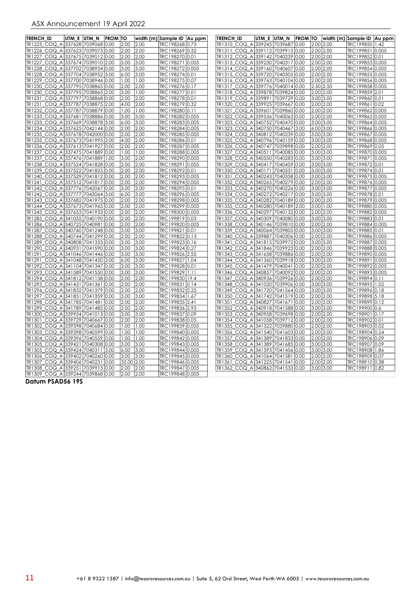| <b>TRENCH ID</b>                         | utm e  utm n  from to |            |       | width (m) Sample ID Au ppm | <b>TRENCH ID</b> |  |                                  |               | UTM E UTM N FROM TO width (m) Sample ID Au ppm |  |
|------------------------------------------|-----------------------|------------|-------|----------------------------|------------------|--|----------------------------------|---------------|------------------------------------------------|--|
| TR1225 COQ A 337628 7039068 0.00         |                       | 2.00       | 2.00  | TRC198268 0.73             |                  |  | TR1310 COQ A 339245 7039687 0.00 | 2.00 2.00     | TRC199850 1.42                                 |  |
| TR1226 COQ A 337623 7039073 0.00         |                       | 2.00       | 2.00  | TRC198269 0.32             |                  |  | TR1311 COQ A 339112 7039915 0.00 | 2.00 2.00     | TRC199851 0.005                                |  |
| TR1227_COQ_A 337675 7039012 0.00         |                       | 2.00       | 2.00  | TRC198270 0.01             |                  |  | TR1312_COQ_A 339142 7040239 0.00 | 2.00 2.00     | TRC199852 0.01                                 |  |
| TR1227_COQ_A 337674 7039010 2.00         |                       | 5.00       | 3.00  | TRC198271 0.005            |                  |  | TR1313_COQ_A 339230 7040317 0.00 | 2.00 2.00     | TRC199853 0.005                                |  |
| TR1228_COQ_A 337702 7038954 0.00         |                       | 3.00       | 3.00  | TRC19827210.005            |                  |  | TR1314_COQ_A 339160 7040607 0.00 | 2.00 2.00     | TRC199854 0.005                                |  |
| TR1228_COQ_A 337704 7038952 3.00         |                       | 6.00       | 3.00  | TRC198274 0.01             |                  |  | TR1315_COQ_A 339720 7040305 0.00 | 2.00 2.00     | TRC199855 0.005                                |  |
| TR1229 COQ A 337700 7038946 0.00         |                       | 1.00       | 1.00  | TRC198275 0.07             |                  |  | TR1316 COQ A 339763 7040104 0.00 | 2.00 2.00     | TRC199856 0.005                                |  |
| TR1230_COQ_A 337795 7038865 0.00         |                       | 2.00       | 2.00  | TRC198276 0.17             |                  |  | TR1317_COQ_A 339776 7040014 0.00 | 2.50 2.50     | TRC199858 0.005                                |  |
| TR1230_COQ_A 337795 7038865 2.00         |                       | 3.00       | 1.00  | TRC198277 0.01             |                  |  | TR1318_COQ_A 339878 7039824 0.00 | 2.00 2.00     | TRC199859 2.01                                 |  |
| TR1231_COQ_A 337797 7038868 0.00         |                       | 2.00       | 2.00  | TRC198278 0.01             |                  |  | TR1319_COQ_A 339891 7039729 0.00 | 3.00 3.00     | TRC199860 0.01                                 |  |
| TR1231_COQ_A 337787 7038875 2.00         |                       | 4.00       | 2.00  | TRC198279 0.32             |                  |  | TR1320_COQ_A 339925 7039667 0.00 | 2.00 2.00     | TRC199861 0.02                                 |  |
| TR1232 COQ A 337787 7038879 0.00         |                       | 1.00       | 1.00  | TRC198280 0.11             |                  |  | TR1321_COQ_A 339601 7039860 0.00 | 2.00 2.00     | TRC199862 0.005                                |  |
| TR1233_COQ_A 337681 7038886 0.00         |                       | 3.00       | 3.00  | TRC198282 0.005            |                  |  | TR1322_COQ_A 339536 7040063 0.00 | 2.00 2.00     | TRC199863 0.005                                |  |
| TR1233_COQ_A 337669 7038878 3.00         |                       | 6.00       | 3.00  | TRC198283 0.005            |                  |  | TR1323_COQ_A 340752 7040470 0.00 | $3.00$ $3.00$ | TRC199864 0.005                                |  |
| TR1234_COQ_A 337625 7042144 0.00         |                       | 2.00       | 2.00  | TRC198284 0.005            |                  |  | TR1323_COQ_A 340750 7040467 3.00 | 6.00 3.00     | TRC199866 0.005                                |  |
| TR1235_COQ_A 337678 7042000 0.00         |                       | 2.00       | 2.00  | TRC198285 0.005            |                  |  | TR1324_COQ_A 340812 7040239 0.00 | 3.00 3.00     | TRC199867 0.005                                |  |
| TR1235_COQ_A 337673 7041995 2.00         |                       | 4.00       | 12.00 | TRC198286 0.01             |                  |  | TR1325 COQ A 340796 7040159 0.00 | 3.00 3.00     | TRC199868 0.005                                |  |
| TR1236_COQ_A 337613 7041927 0.00         |                       | 2.00       | 2.00  | TRC198287 0.005            |                  |  | TR1326_COQ_A 340747 7039898 0.00 | 2.00 2.00     | TRC199869 0.05                                 |  |
| TR1237_COQ_A 337475 7041889 0.00         |                       | 1.00       | 1.00  | TRC198288 0.005            |                  |  | TR1327_COQ_A 340511 7040085 0.00 | 3.00 3.00     | TRC199870 0.005                                |  |
| TR1237_COQ_A 337476 7041889 1.00         |                       | 3.00       | 2.00  | TRC198290 0.005            |                  |  | TR1328_COQ_A 340550 7040283 0.00 | 3.00 3.00     | TRC199871 0.005                                |  |
| TR1238_COQ_A 337524 7041828 0.00         |                       | 2.00       | 2.00  | TRC198291 0.005            |                  |  | TR1329_COQ_A 340417 7040459 0.00 | 3.00 3.00     | TRC199872 0.01                                 |  |
| TR1239_COQ_A 337522 7041825 0.00         |                       | 2.00       | 2.00  | TRC198292 0.01             |                  |  | TR1330 COQ A 340171 7040531 0.00 | 3.00 3.00     | TRC199874 0.01                                 |  |
| TR1240_COQ_A 337529 7041812 0.00         |                       | 2.00       | 2.00  | TRC198293 0.005            |                  |  | TR1331_COQ_A 340243 7040358 0.00 | 3.00 3.00     | TRC199875 0.005                                |  |
| TR1241_COQ_A 337512 7041817 0.00         |                       | 2.00       | 2.00  | TRC198294 0.005            |                  |  | TR1332 COQ A 340265 7040279 0.00 | 2.00 2.00     | TRC199876 0.005                                |  |
| TR1242_COQ_A 337776 7042067 0.00         |                       | 3.00       | 3.00  | TRC198295 0.01             |                  |  | TR1333_COQ_A 340270 7040226 0.00 | 3.00 3.00     | TRC199877 0.005                                |  |
| TR1242_COQ_A 337777 7042064 3.00         |                       | 6.00       | 3.00  | TRC198296 0.005            |                  |  | TR1334_COQ_A 340272 7040217 0.00 | 3.00 3.00     | TRC199878 0.01                                 |  |
| TR1243_COQ_A 337682 7041975 0.00         |                       | 2.00       | 2.00  | TRC198298 0.005            |                  |  | TR1335_COQ_A 340282 7040189 0.00 | 2.00 2.00     | TRC199879 0.005                                |  |
| TR1244_COQ_A 337673 7041965 0.00         |                       | 2.00       | 2.00  | TRC198299 0.005            |                  |  | TR1335_COQ_A 340280 7040189 2.00 | 3.00 1.00     | TRC199880 0.005                                |  |
| TR1245_COQ_A 337653 7041933 0.00         |                       | 2.00       | 2.00  | TRC198300 0.005            |                  |  | TR1336 COQ A 340297 7040132 0.00 | 2.00 2.00     | TRC199882 0.005                                |  |
| TR1285_COQ_A 341055 7040190 0.00         |                       | 2.00       | 2.00  | TRC199819 0.03             |                  |  | TR1337_COQ_A 340309 7040080 0.00 | 3.00 3.00     | TRC199883 0.01                                 |  |
| TR1286_COQ_A 340725 7040981 0.00         |                       | 2.00       | 2.00  | TRC199820 0.005            |                  |  | TR1338_COQ_A 340146 7039810 0.00 | 2.00 2.00     | TRC199884 0.005                                |  |
| TR1287_COQ_A 340760 7041248 0.00         |                       | 3.00       | 3.00  | TRC199821 0.01             |                  |  | TR1339_COQ_A 340064 7039805 0.00 | 3.00 3.00     | TRC199885 0.01                                 |  |
| TR1288_COQ_A 340744 7041299 0.00         |                       | 2.00       | 2.00  | TRC199822 0.13             |                  |  | TR1340_COQ_A 339887 7040306 0.00 | 2.00 2.00     | TRC199886 0.005                                |  |
| TR1289 COQ A 340808 7041333 0.00         |                       | 3.00       | 3.00  | TRC199823 0.16             |                  |  | TR1341_COQ_A 341815 7039972 0.00 | 3.00 3.00     | TRC199887 0.005                                |  |
| TR1290 COQ A 340931 7041590 0.00         |                       | 3.00       | 3.00  | TRC199824 0.27             |                  |  | TR1342 COQ A 341846 7039923 0.00 | 2.00 2.00     | TRC199888 0.005                                |  |
| TR1291_COQ_A 341046 7041446 0.00         |                       | 3.00       | 3.00  | TRC199826 2.55             |                  |  | TR1343_COQ_A 341658 7039886 0.00 | 2.00 2.00     | TRC199890 0.005                                |  |
| TR1291_COQ_A 341048 7041450 3.00         |                       | 6.00       | 3.00  | TRC199827 1.04             |                  |  | TR1344_COQ_A 341360 7039918 0.00 | 3.00 3.00     | TRC199891 0.005                                |  |
| TR1292_COQ_A 341104 7041347 0.00         |                       | 3.00       | 3.00  | TRC199828 0.01             |                  |  | TR1345_COQ_A 341479 7040041 0.00 | 2.00 2.00     | TRC199892 0.005                                |  |
| TR1293 COQ A 341589 7041550 0.00         |                       | 3.00       | 3.00  | TRC199829 1.11             |                  |  | TR1346 COQ A 340857 7040092 0.00 | 2.00 2.00     | TRC199893 0.005                                |  |
| TR1294 COQ A 341812 7041158 0.00         |                       | 2.00       | 2.00  | TRC199830 19.4             |                  |  | TR1347 COQ A 340936 7039926 0.00 | 2.00 2.00     | TRC199894 0.11                                 |  |
| TR1295_COQ_A 341431 7041361 0.00         |                       | 2.00       | 2.00  | TRC199831 0.14             |                  |  | TR1348_COQ_A 341020 7039906 0.00 | 3.00 3.00     | TRC199895 1.02                                 |  |
| TR1296_COQ_A 341832 7041379 0.00         |                       | 2.00       | 2.00  | TRC199832 0.25             |                  |  | TR1349_COQ_A 341720 7041564 0.00 | 3.00 3.00     | TRC199896 0.18                                 |  |
| TR1297_COQ_A 341851 7041359 0.00         |                       | 3.00       | 3.00  | TRC199834 1.67             |                  |  | TR1350_COQ_A 341742 7041519 0.00 | 2.00 2.00     | TRC199898 5.18                                 |  |
| TR1298_COQ_A 341785 7041481 0.00         |                       | 2.00       | 2.00  | TRC199835 2.41             |                  |  | TR1351_COQ_A 340827 7041671 0.00 | 2.00 2.00     | TRC199899 0.12                                 |  |
| TR1299 COQ A 341789 7041485 0.00         |                       | 2.00       | 2.00  | TRC199836 2.93             |                  |  | TR1352 COQ A 340918 7041588 0.00 | 3.00 3.00     | TRC199900 0.6                                  |  |
| TR1300_COQ_A 339954 7041013 0.00         |                       | 3.00       | 3.00  | TRC199837 0.09             |                  |  | TR1353_COQ_A 340958 7039698 0.00 | 2.00 2.00     | TRC198901 0.17                                 |  |
| TR1301_COQ_A 339729 7040667 0.00         |                       | 2.00       | 2.00  | TRC199838 0.05             |                  |  | TR1354_COQ_A 341058 7039712 0.00 | 2.00 2.00     | TRC198902 0.01                                 |  |
| TR1302_COQ_A 339398 7040684 0.00         |                       | 1.00       | 1.00  | TRC199839 0.005            |                  |  | TR1355_COQ_A 341322 7039880 0.00 | 2.00 2.00     | TRC198903 0.02                                 |  |
| TR1303_COQ_A 339398 7040599 0.00         |                       | 1.00       | 1.00  | TRC199840 0.005            |                  |  | TR1356_COQ_A 341540 7041603 0.00 | 2.00 2.00     | TRC198904 0.24                                 |  |
| TR1304 COQ A 339396 7040559 0.00         |                       | 1.00       | 1.00  | TRC199842 0.005            |                  |  | TR1357 COQ A 341389 7041833 0.00 | 2.00 2.00     | TRC198906 0.09                                 |  |
| TR1305 COQ A 339421 7040308 0.00         |                       | 3.00       | 3.00  | TRC199843 0.005            |                  |  | TR1358_COQ_A 341389 7041685 0.00 | 3.00 3.00     | TRC198907 0.09                                 |  |
| TR1305_COQ_A 339424 7040311 3.00         |                       | 6.00       | 3.00  | TRC199844 0.005            |                  |  | TR1359_COQ_A 341393 7041456 0.00 | 3.00 3.00     | TRC198908 1.86                                 |  |
| TR1306_COQ_A 339402 7040260 0.00         |                       | 3.00       | 3.00  | TRC199845 0.005            |                  |  | TR1360_COQ_A 341064 7041581 0.00 | 2.00 2.00     | TRC198909 0.07                                 |  |
| <u>TR1307_COQ_A 33</u> 9406 7040231 0.00 |                       | 32.00 2.00 |       | TRC199846 0.005            |                  |  | TR1361_COQ_A 341225 7041541 0.00 | 2.00 2.00     | TRC198910 0.38                                 |  |
| TR1308_COQ_A 339251 7039913 0.00         |                       | 2.00       | 2.00  | TRC199847 0.005            |                  |  | TR1362_COQ_A 340862 7041533 0.00 | 3.00 3.00     | TRC198911 0.82                                 |  |
| TR1309 COQ A 339244 7039868 0.00         |                       | 2.00       | 2.00  | TRC199848 0.005            |                  |  |                                  |               |                                                |  |

**Datum PSAD56 19S**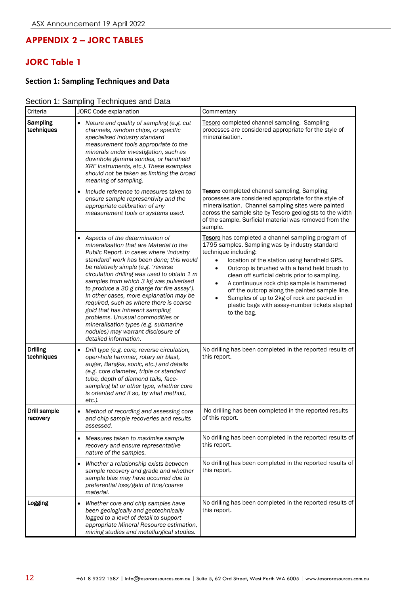## **APPENDIX 2 – JORC TABLES**

# **JORC Table 1**

### **Section 1: Sampling Techniques and Data**

#### Section 1: Sampling Techniques and Data

| Criteria                      | JORC Code explanation                                                                                                                                                                                                                                                                                                                                                                                                                                                                                                                                                                                                 | Commentary                                                                                                                                                                                                                                                                                                                                                                                                                                                                                                                         |
|-------------------------------|-----------------------------------------------------------------------------------------------------------------------------------------------------------------------------------------------------------------------------------------------------------------------------------------------------------------------------------------------------------------------------------------------------------------------------------------------------------------------------------------------------------------------------------------------------------------------------------------------------------------------|------------------------------------------------------------------------------------------------------------------------------------------------------------------------------------------------------------------------------------------------------------------------------------------------------------------------------------------------------------------------------------------------------------------------------------------------------------------------------------------------------------------------------------|
| Sampling<br>techniques        | Nature and quality of sampling (e.g. cut<br>channels, random chips, or specific<br>specialised industry standard<br>measurement tools appropriate to the<br>minerals under investigation, such as<br>downhole gamma sondes, or handheld<br>XRF instruments, etc.). These examples<br>should not be taken as limiting the broad<br>meaning of sampling.                                                                                                                                                                                                                                                                | Tesoro completed channel sampling. Sampling<br>processes are considered appropriate for the style of<br>mineralisation.                                                                                                                                                                                                                                                                                                                                                                                                            |
|                               | Include reference to measures taken to<br>ensure sample representivity and the<br>appropriate calibration of any<br>measurement tools or systems used.                                                                                                                                                                                                                                                                                                                                                                                                                                                                | Tesoro completed channel sampling, Sampling<br>processes are considered appropriate for the style of<br>mineralisation. Channel sampling sites were painted<br>across the sample site by Tesoro geologists to the width<br>of the sample. Surficial material was removed from the<br>sample.                                                                                                                                                                                                                                       |
|                               | • Aspects of the determination of<br>mineralisation that are Material to the<br>Public Report. In cases where 'industry<br>standard' work has been done; this would<br>be relatively simple (e.g. 'reverse<br>circulation drilling was used to obtain 1 m<br>samples from which 3 kg was pulverised<br>to produce a 30 g charge for fire assay').<br>In other cases, more explanation may be<br>required, such as where there is coarse<br>gold that has inherent sampling<br>problems. Unusual commodities or<br>mineralisation types (e.g. submarine<br>nodules) may warrant disclosure of<br>detailed information. | Tesoro has completed a channel sampling program of<br>1795 samples. Sampling was by industry standard<br>technique including:<br>location of the station using handheld GPS.<br>$\bullet$<br>Outcrop is brushed with a hand held brush to<br>clean off surficial debris prior to sampling.<br>A continuous rock chip sample is hammered<br>$\bullet$<br>off the outcrop along the painted sample line.<br>Samples of up to 2kg of rock are packed in<br>$\bullet$<br>plastic bags with assay-number tickets stapled<br>to the bag. |
| <b>Drilling</b><br>techniques | Drill type (e.g. core, reverse circulation,<br>$\bullet$<br>open-hole hammer, rotary air blast,<br>auger, Bangka, sonic, etc.) and details<br>(e.g. core diameter, triple or standard<br>tube, depth of diamond tails, face-<br>sampling bit or other type, whether core<br>is oriented and if so, by what method,<br>$etc.$ ).                                                                                                                                                                                                                                                                                       | No drilling has been completed in the reported results of<br>this report.                                                                                                                                                                                                                                                                                                                                                                                                                                                          |
| Drill sample<br>recovery      | Method of recording and assessing core<br>and chip sample recoveries and results<br>assessed.                                                                                                                                                                                                                                                                                                                                                                                                                                                                                                                         | No drilling has been completed in the reported results<br>of this report.                                                                                                                                                                                                                                                                                                                                                                                                                                                          |
|                               | Measures taken to maximise sample<br>recovery and ensure representative<br>nature of the samples.                                                                                                                                                                                                                                                                                                                                                                                                                                                                                                                     | No drilling has been completed in the reported results of<br>this report.                                                                                                                                                                                                                                                                                                                                                                                                                                                          |
|                               | Whether a relationship exists between<br>٠<br>sample recovery and grade and whether<br>sample bias may have occurred due to<br>preferential loss/gain of fine/coarse<br>material.                                                                                                                                                                                                                                                                                                                                                                                                                                     | No drilling has been completed in the reported results of<br>this report.                                                                                                                                                                                                                                                                                                                                                                                                                                                          |
| Logging                       | Whether core and chip samples have<br>$\bullet$<br>been geologically and geotechnically<br>logged to a level of detail to support<br>appropriate Mineral Resource estimation,<br>mining studies and metallurgical studies.                                                                                                                                                                                                                                                                                                                                                                                            | No drilling has been completed in the reported results of<br>this report.                                                                                                                                                                                                                                                                                                                                                                                                                                                          |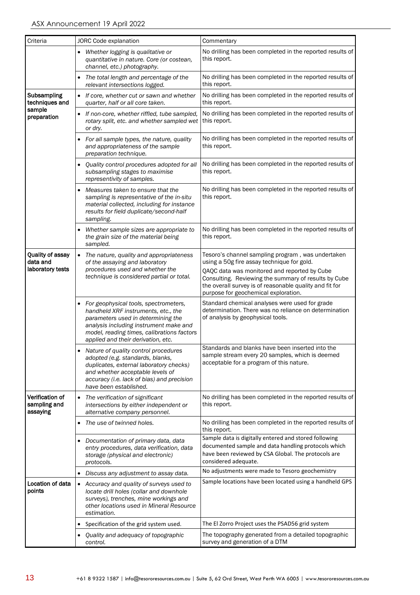| Criteria                                         |           | JORC Code explanation                                                                                                                                                                                                                            | Commentary                                                                                                                                                                                                                                                                                                 |
|--------------------------------------------------|-----------|--------------------------------------------------------------------------------------------------------------------------------------------------------------------------------------------------------------------------------------------------|------------------------------------------------------------------------------------------------------------------------------------------------------------------------------------------------------------------------------------------------------------------------------------------------------------|
|                                                  |           | Whether logging is qualitative or<br>quantitative in nature. Core (or costean,<br>channel, etc.) photography.                                                                                                                                    | No drilling has been completed in the reported results of<br>this report.                                                                                                                                                                                                                                  |
|                                                  |           | The total length and percentage of the<br>relevant intersections logged.                                                                                                                                                                         | No drilling has been completed in the reported results of<br>this report.                                                                                                                                                                                                                                  |
| Subsampling<br>techniques and                    |           | • If core, whether cut or sawn and whether<br>quarter, half or all core taken.                                                                                                                                                                   | No drilling has been completed in the reported results of<br>this report.                                                                                                                                                                                                                                  |
| sample<br>preparation                            |           | If non-core, whether riffled, tube sampled,<br>rotary split, etc. and whether sampled wet<br>or dry.                                                                                                                                             | No drilling has been completed in the reported results of<br>this report.                                                                                                                                                                                                                                  |
|                                                  |           | For all sample types, the nature, quality<br>and appropriateness of the sample<br>preparation technique.                                                                                                                                         | No drilling has been completed in the reported results of<br>this report.                                                                                                                                                                                                                                  |
|                                                  |           | Quality control procedures adopted for all<br>subsampling stages to maximise<br>representivity of samples.                                                                                                                                       | No drilling has been completed in the reported results of<br>this report.                                                                                                                                                                                                                                  |
|                                                  |           | Measures taken to ensure that the<br>sampling is representative of the in-situ<br>material collected, including for instance<br>results for field duplicate/second-half<br>sampling.                                                             | No drilling has been completed in the reported results of<br>this report.                                                                                                                                                                                                                                  |
|                                                  |           | Whether sample sizes are appropriate to<br>the grain size of the material being<br>sampled.                                                                                                                                                      | No drilling has been completed in the reported results of<br>this report.                                                                                                                                                                                                                                  |
| Quality of assay<br>data and<br>laboratory tests |           | • The nature, quality and appropriateness<br>of the assaying and laboratory<br>procedures used and whether the<br>technique is considered partial or total.                                                                                      | Tesoro's channel sampling program, was undertaken<br>using a 50g fire assay technique for gold.<br>QAQC data was monitored and reported by Cube<br>Consulting. Reviewing the summary of results by Cube<br>the overall survey is of reasonable quality and fit for<br>purpose for geochemical exploration. |
|                                                  |           | For geophysical tools, spectrometers,<br>handheld XRF instruments, etc., the<br>parameters used in determining the<br>analysis including instrument make and<br>model, reading times, calibrations factors<br>applied and their derivation, etc. | Standard chemical analyses were used for grade<br>determination. There was no reliance on determination<br>of analysis by geophysical tools.                                                                                                                                                               |
|                                                  |           | Nature of quality control procedures<br>adopted (e.g. standards, blanks,<br>duplicates, external laboratory checks)<br>and whether acceptable levels of<br>accuracy (i.e. lack of bias) and precision<br>have been established.                  | Standards and blanks have been inserted into the<br>sample stream every 20 samples, which is deemed<br>acceptable for a program of this nature.                                                                                                                                                            |
| Verification of<br>sampling and<br>assaying      | $\bullet$ | The verification of significant<br>intersections by either independent or<br>alternative company personnel.                                                                                                                                      | No drilling has been completed in the reported results of<br>this report.                                                                                                                                                                                                                                  |
|                                                  | ٠         | The use of twinned holes.                                                                                                                                                                                                                        | No drilling has been completed in the reported results of<br>this report.                                                                                                                                                                                                                                  |
|                                                  | ٠         | Documentation of primary data, data<br>entry procedures, data verification, data<br>storage (physical and electronic)<br>protocols.                                                                                                              | Sample data is digitally entered and stored following<br>documented sample and data handling protocols which<br>have been reviewed by CSA Global. The protocols are<br>considered adequate.                                                                                                                |
|                                                  |           | Discuss any adjustment to assay data.                                                                                                                                                                                                            | No adjustments were made to Tesoro geochemistry                                                                                                                                                                                                                                                            |
| Location of data<br>points                       |           | • Accuracy and quality of surveys used to<br>locate drill holes (collar and downhole<br>surveys), trenches, mine workings and<br>other locations used in Mineral Resource<br>estimation.                                                         | Sample locations have been located using a handheld GPS                                                                                                                                                                                                                                                    |
|                                                  |           | Specification of the grid system used.                                                                                                                                                                                                           | The El Zorro Project uses the PSAD56 grid system                                                                                                                                                                                                                                                           |
|                                                  |           | Quality and adequacy of topographic<br>control.                                                                                                                                                                                                  | The topography generated from a detailed topographic<br>survey and generation of a DTM                                                                                                                                                                                                                     |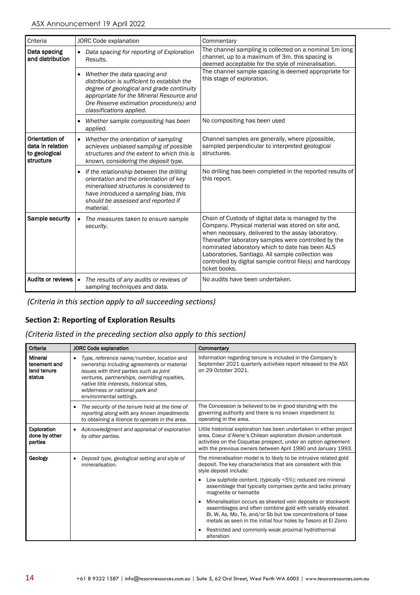| Criteria                                                         | <b>JORC Code explanation</b>                                                                                                                                                                                                                | Commentary                                                                                                                                                                                                                                                                                                                                                                                                   |
|------------------------------------------------------------------|---------------------------------------------------------------------------------------------------------------------------------------------------------------------------------------------------------------------------------------------|--------------------------------------------------------------------------------------------------------------------------------------------------------------------------------------------------------------------------------------------------------------------------------------------------------------------------------------------------------------------------------------------------------------|
| Data spacing<br>and distribution                                 | • Data spacing for reporting of Exploration<br>Results.                                                                                                                                                                                     | The channel sampling is collected on a nominal 1m long<br>channel, up to a maximum of 3m. this spacing is<br>deemed acceptable for the style of mineralisation.                                                                                                                                                                                                                                              |
|                                                                  | Whether the data spacing and<br>distribution is sufficient to establish the<br>degree of geological and grade continuity<br>appropriate for the Mineral Resource and<br>Ore Reserve estimation procedure(s) and<br>classifications applied. | The channel sample spacing is deemed appropriate for<br>this stage of exploration.                                                                                                                                                                                                                                                                                                                           |
|                                                                  | Whether sample compositing has been<br>applied.                                                                                                                                                                                             | No compositing has been used                                                                                                                                                                                                                                                                                                                                                                                 |
| Orientation of<br>data in relation<br>to geological<br>structure | Whether the orientation of sampling<br>$\bullet$<br>achieves unbiased sampling of possible<br>structures and the extent to which this is<br>known, considering the deposit type.                                                            | Channel samples are generally, where p[possible,<br>sampled perpendicular to interpreted geological<br>structures.                                                                                                                                                                                                                                                                                           |
|                                                                  | • If the relationship between the drilling<br>orientation and the orientation of key<br>mineralised structures is considered to<br>have introduced a sampling bias, this<br>should be assessed and reported if<br>material.                 | No drilling has been completed in the reported results of<br>this report.                                                                                                                                                                                                                                                                                                                                    |
| Sample security                                                  | The measures taken to ensure sample<br>$\bullet$<br>security.                                                                                                                                                                               | Chain of Custody of digital data is managed by the<br>Company. Physical material was stored on site and,<br>when necessary, delivered to the assay laboratory.<br>Thereafter laboratory samples were controlled by the<br>nominated laboratory which to date has been ALS<br>Laboratories, Santiago. All sample collection was<br>controlled by digital sample control file(s) and hardcopy<br>ticket books. |
| Audits or reviews                                                | The results of any audits or reviews of<br>$\bullet$<br>sampling techniques and data.                                                                                                                                                       | No audits have been undertaken.                                                                                                                                                                                                                                                                                                                                                                              |

*(Criteria in this section apply to all succeeding sections)*

### **Section 2: Reporting of Exploration Results**

*(Criteria listed in the preceding section also apply to this section)*

| Criteria                                         | <b>JORC Code explanation</b>                                                                                                                                                                                                                                                                                | Commentary                                                                                                                                                                                                                                                             |
|--------------------------------------------------|-------------------------------------------------------------------------------------------------------------------------------------------------------------------------------------------------------------------------------------------------------------------------------------------------------------|------------------------------------------------------------------------------------------------------------------------------------------------------------------------------------------------------------------------------------------------------------------------|
| Mineral<br>tenement and<br>land tenure<br>status | Type, reference name/number, location and<br>$\bullet$<br>ownership including agreements or material<br>issues with third parties such as joint<br>ventures, partnerships, overriding royalties,<br>native title interests, historical sites,<br>wilderness or national park and<br>environmental settings. | Information regarding tenure is included in the Company's<br>September 2021 quarterly activities report released to the ASX<br>on 29 October 2021.                                                                                                                     |
|                                                  | The security of the tenure held at the time of<br>$\bullet$<br>reporting along with any known impediments<br>to obtaining a licence to operate in the area.                                                                                                                                                 | The Concession is believed to be in good standing with the<br>governing authority and there is no known impediment to<br>operating in the area.                                                                                                                        |
| Exploration<br>done by other<br>parties          | Acknowledgment and appraisal of exploration<br>by other parties.                                                                                                                                                                                                                                            | Little historical exploration has been undertaken in either project<br>area. Coeur d'Alene's Chilean exploration division undertook<br>activities on the Coquetas prospect, under an option agreement<br>with the previous owners between April 1990 and January 1993. |
| Geology                                          | Deposit type, geological setting and style of<br>$\bullet$<br>mineralisation.                                                                                                                                                                                                                               | The mineralisation model is to likely to be intrusive related gold<br>deposit. The key characteristics that are consistent with this<br>style deposit include:                                                                                                         |
|                                                  |                                                                                                                                                                                                                                                                                                             | Low sulphide content, (typically <5%); reduced ore mineral<br>$\bullet$<br>assemblage that typically comprises pyrite and lacks primary<br>magnetite or hematite                                                                                                       |
|                                                  |                                                                                                                                                                                                                                                                                                             | Mineralisation occurs as sheeted vein deposits or stockwork<br>assemblages and often combine gold with variably elevated<br>Bi, W, As, Mo, Te, and/or Sb but low concentrations of base<br>metals as seen in the initial four holes by Tesoro at El Zorro              |
|                                                  |                                                                                                                                                                                                                                                                                                             | Restricted and commonly weak proximal hydrothermal<br>alteration                                                                                                                                                                                                       |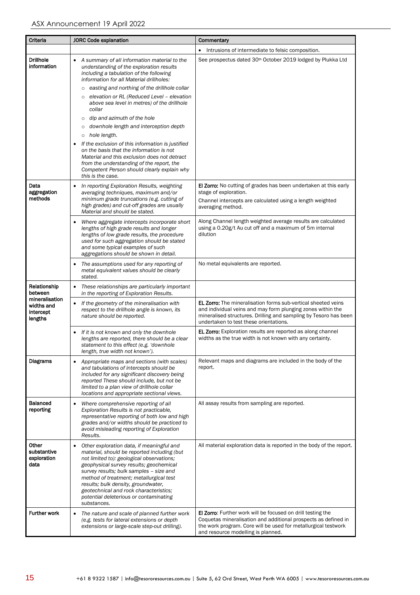| Criteria                                             | <b>JORC Code explanation</b>                                                                                                                                                                                                                                                                                                                                                                                                                                                                                                                                                                                                                                                                                                                         | Commentary                                                                                                                                                                                                                                        |
|------------------------------------------------------|------------------------------------------------------------------------------------------------------------------------------------------------------------------------------------------------------------------------------------------------------------------------------------------------------------------------------------------------------------------------------------------------------------------------------------------------------------------------------------------------------------------------------------------------------------------------------------------------------------------------------------------------------------------------------------------------------------------------------------------------------|---------------------------------------------------------------------------------------------------------------------------------------------------------------------------------------------------------------------------------------------------|
|                                                      |                                                                                                                                                                                                                                                                                                                                                                                                                                                                                                                                                                                                                                                                                                                                                      | Intrusions of intermediate to felsic composition.<br>٠                                                                                                                                                                                            |
| <b>Drillhole</b><br>information                      | A summary of all information material to the<br>understanding of the exploration results<br>including a tabulation of the following<br>information for all Material drillholes:<br>easting and northing of the drillhole collar<br>$\circ$<br>elevation or RL (Reduced Level - elevation<br>$\circ$<br>above sea level in metres) of the drillhole<br>collar<br>dip and azimuth of the hole<br>$\circ$<br>downhole length and interception depth<br>$\circ$<br>o hole length.<br>If the exclusion of this information is justified<br>٠<br>on the basis that the information is not<br>Material and this exclusion does not detract<br>from the understanding of the report, the<br>Competent Person should clearly explain why<br>this is the case. | See prospectus dated 30 <sup>th</sup> October 2019 lodged by Plukka Ltd                                                                                                                                                                           |
| Data<br>aggregation<br>methods                       | In reporting Exploration Results, weighting<br>٠<br>averaging techniques, maximum and/or<br>minimum grade truncations (e.g. cutting of<br>high grades) and cut-off grades are usually<br>Material and should be stated.                                                                                                                                                                                                                                                                                                                                                                                                                                                                                                                              | <b>El Zorro:</b> No cutting of grades has been undertaken at this early<br>stage of exploration.<br>Channel intercepts are calculated using a length weighted<br>averaging method.                                                                |
|                                                      | Where aggregate intercepts incorporate short<br>lengths of high grade results and longer<br>lengths of low grade results, the procedure<br>used for such aggregation should be stated<br>and some typical examples of such<br>aggregations should be shown in detail.                                                                                                                                                                                                                                                                                                                                                                                                                                                                                | Along Channel length weighted average results are calculated<br>using a 0.20g/t Au cut off and a maximum of 5m internal<br>dilution                                                                                                               |
|                                                      | The assumptions used for any reporting of<br>metal equivalent values should be clearly<br>stated.                                                                                                                                                                                                                                                                                                                                                                                                                                                                                                                                                                                                                                                    | No metal equivalents are reported.                                                                                                                                                                                                                |
| Relationship<br>between                              | These relationships are particularly important<br>٠<br>in the reporting of Exploration Results.                                                                                                                                                                                                                                                                                                                                                                                                                                                                                                                                                                                                                                                      |                                                                                                                                                                                                                                                   |
| mineralisation<br>widths and<br>intercept<br>lengths | If the geometry of the mineralisation with<br>٠<br>respect to the drillhole angle is known, its<br>nature should be reported.                                                                                                                                                                                                                                                                                                                                                                                                                                                                                                                                                                                                                        | <b>EL Zorro:</b> The mineralisation forms sub-vertical sheeted veins<br>and individual veins and may form plunging zones within the<br>mineralised structures. Drilling and sampling by Tesoro has been<br>undertaken to test these orientations. |
|                                                      | If it is not known and only the downhole<br>lengths are reported, there should be a clear<br>statement to this effect (e.g. 'downhole<br>length, true width not known').                                                                                                                                                                                                                                                                                                                                                                                                                                                                                                                                                                             | EL Zorro: Exploration results are reported as along channel<br>widths as the true width is not known with any certainty.                                                                                                                          |
| Diagrams                                             | Appropriate maps and sections (with scales)<br>٠<br>and tabulations of intercepts should be<br>included for any significant discovery being<br>reported These should include, but not be<br>limited to a plan view of drillhole collar<br>locations and appropriate sectional views.                                                                                                                                                                                                                                                                                                                                                                                                                                                                 | Relevant maps and diagrams are included in the body of the<br>report.                                                                                                                                                                             |
| <b>Balanced</b><br>reporting                         | Where comprehensive reporting of all<br>٠<br>Exploration Results is not practicable,<br>representative reporting of both low and high<br>grades and/or widths should be practiced to<br>avoid misleading reporting of Exploration<br>Results.                                                                                                                                                                                                                                                                                                                                                                                                                                                                                                        | All assay results from sampling are reported.                                                                                                                                                                                                     |
| Other<br>substantive<br>exploration<br>data          | Other exploration data, if meaningful and<br>٠<br>material, should be reported including (but<br>not limited to): geological observations;<br>geophysical survey results; geochemical<br>survey results; bulk samples - size and<br>method of treatment; metallurgical test<br>results; bulk density, groundwater,<br>geotechnical and rock characteristics;<br>potential deleterious or contaminating<br>substances.                                                                                                                                                                                                                                                                                                                                | All material exploration data is reported in the body of the report.                                                                                                                                                                              |
| <b>Further work</b>                                  | The nature and scale of planned further work<br>٠<br>(e.g. tests for lateral extensions or depth<br>extensions or large-scale step-out drilling).                                                                                                                                                                                                                                                                                                                                                                                                                                                                                                                                                                                                    | <b>El Zorro:</b> Further work will be focused on drill testing the<br>Coquetas mineralisation and additional prospects as defined in<br>the work program. Core will be used for metallurgical testwork<br>and resource modelling is planned.      |